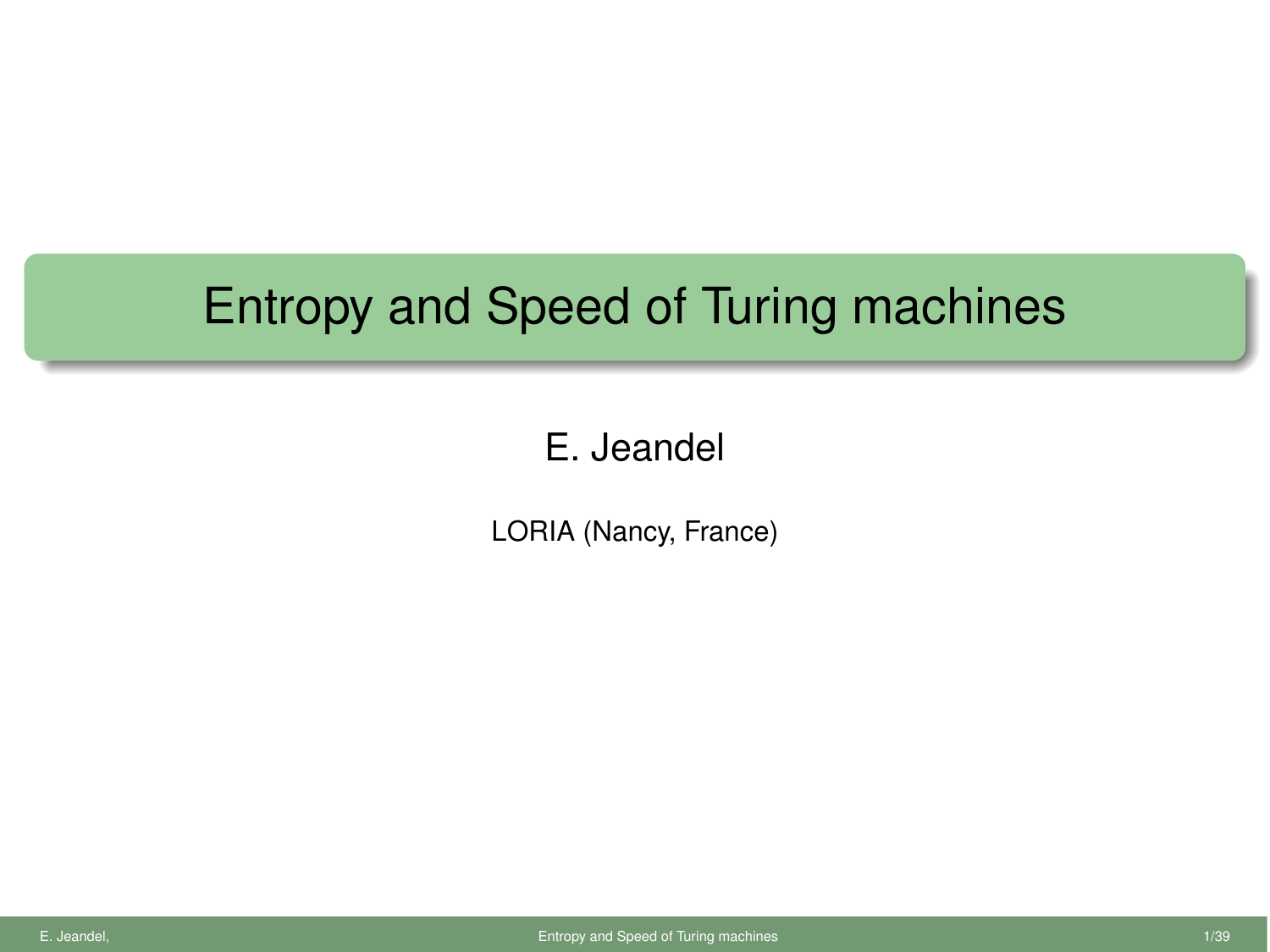## Entropy and Speed of Turing machines

## E. Jeandel

<span id="page-0-0"></span>LORIA (Nancy, France)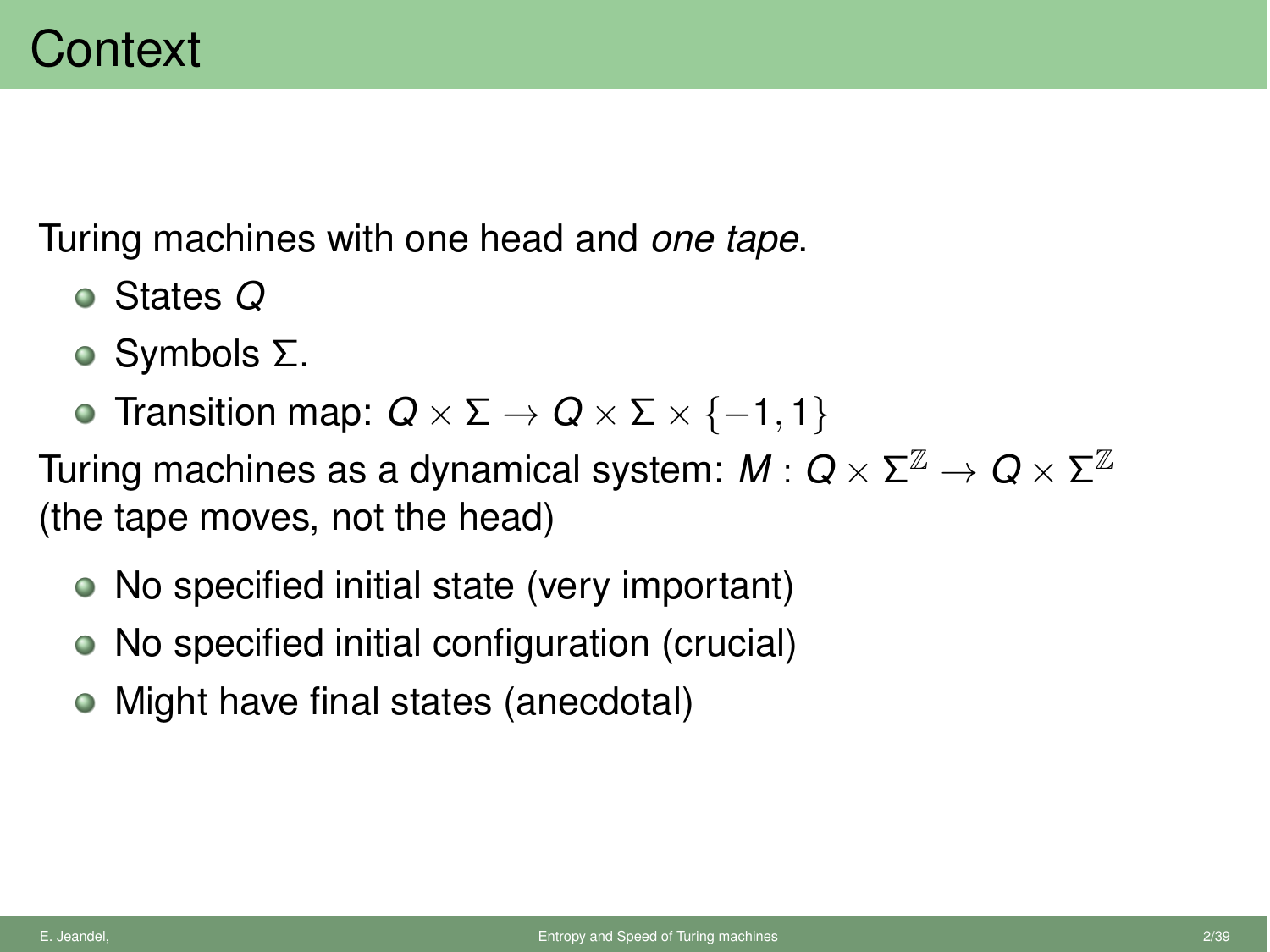Turing machines with one head and *one tape*.

- States *Q*
- $\circ$  Symbols  $\Sigma$ .
- **•** Transition map:  $Q \times \Sigma \rightarrow Q \times \Sigma \times \{-1, 1\}$

Turing machines as a dynamical system:  $M: Q \times \Sigma^{\mathbb{Z}} \to Q \times \Sigma^{\mathbb{Z}}$ (the tape moves, not the head)

- No specified initial state (very important)
- No specified initial configuration (crucial)
- Might have final states (anecdotal)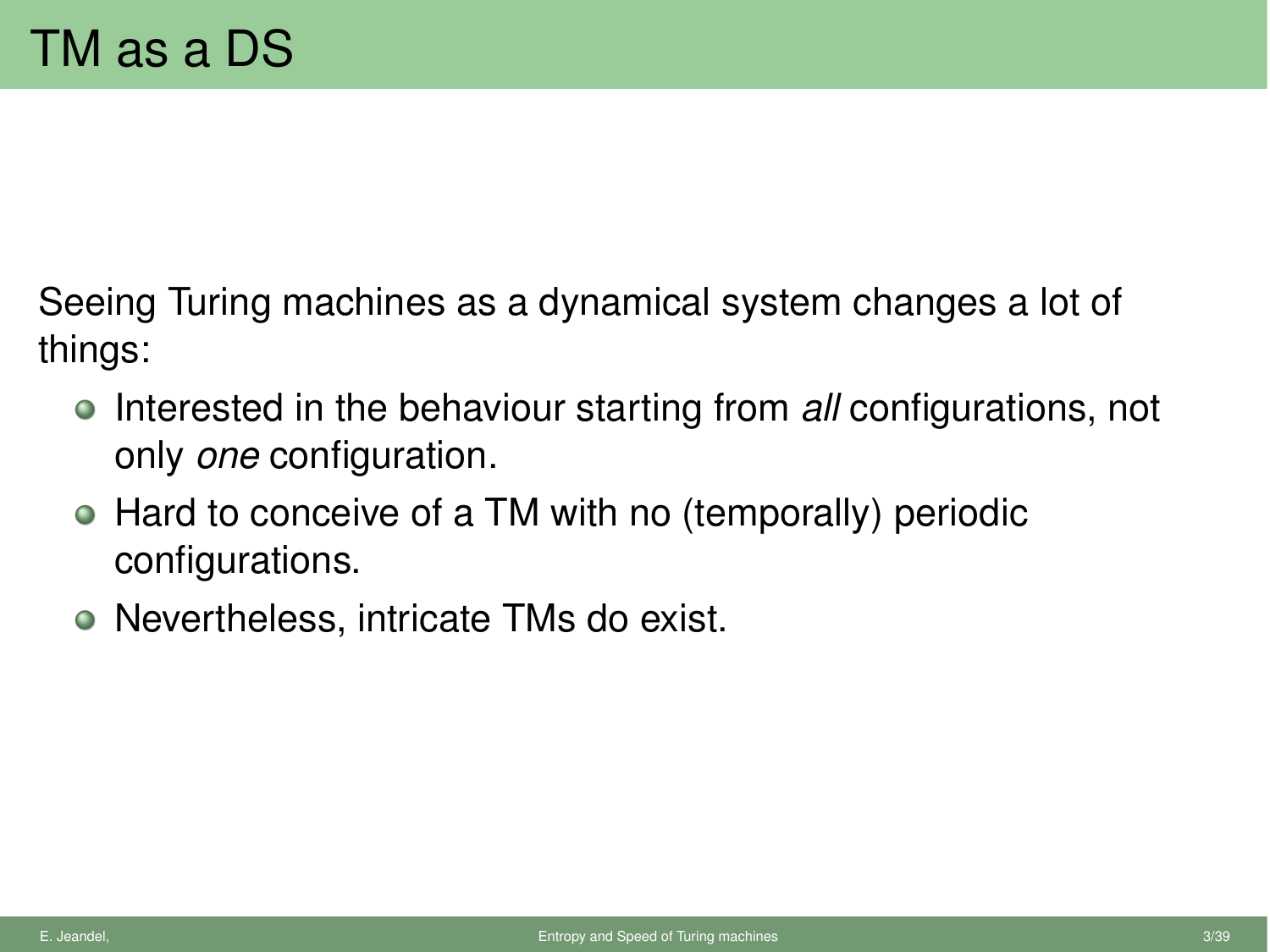Seeing Turing machines as a dynamical system changes a lot of things:

- **Interested in the behaviour starting from** *all* **configurations, not** only *one* configuration.
- Hard to conceive of a TM with no (temporally) periodic configurations.
- Nevertheless, intricate TMs do exist.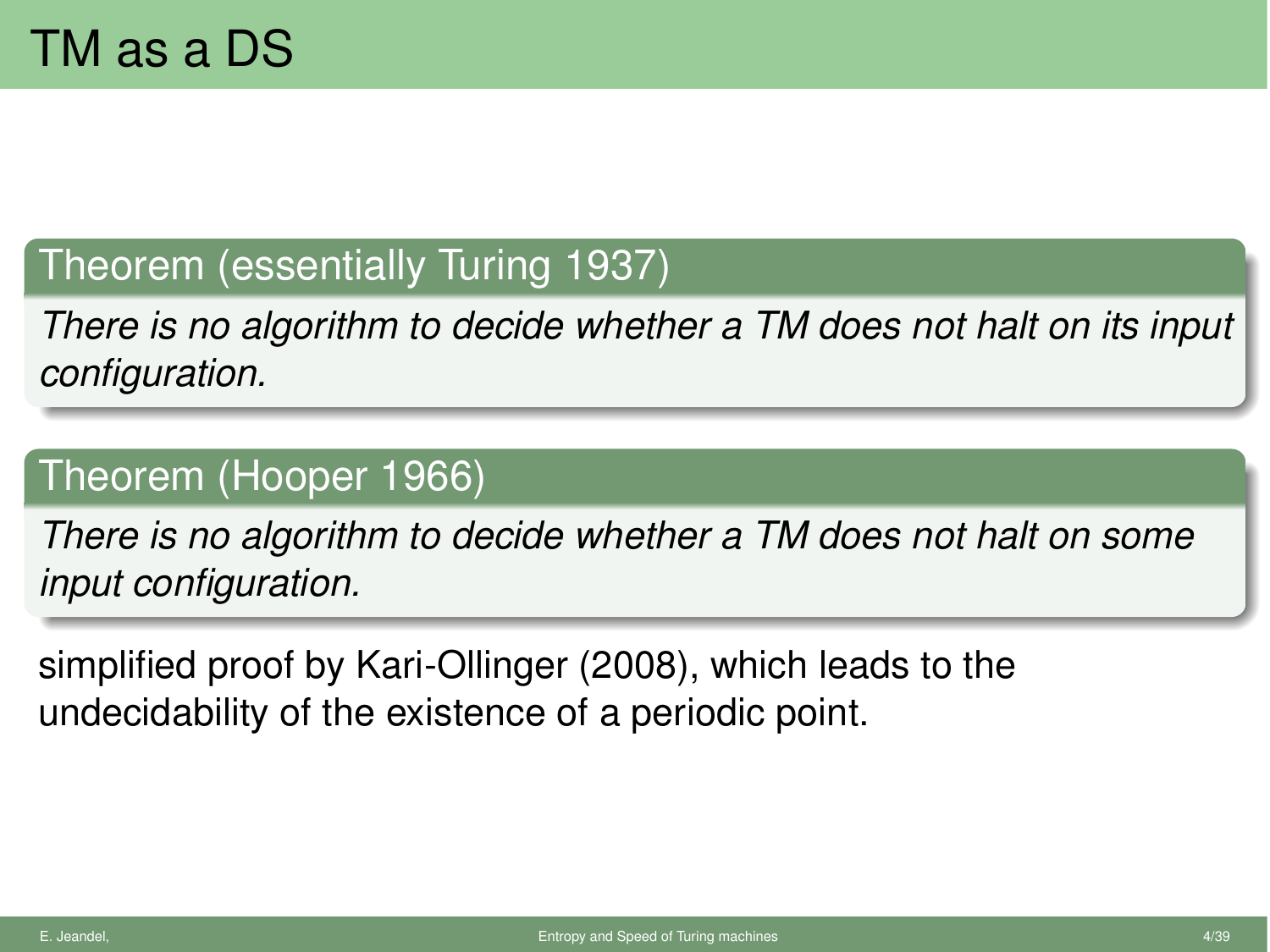## Theorem (essentially Turing 1937)

*There is no algorithm to decide whether a TM does not halt on its input configuration.*

## Theorem (Hooper 1966)

*There is no algorithm to decide whether a TM does not halt on some input configuration.*

simplified proof by Kari-Ollinger (2008), which leads to the undecidability of the existence of a periodic point.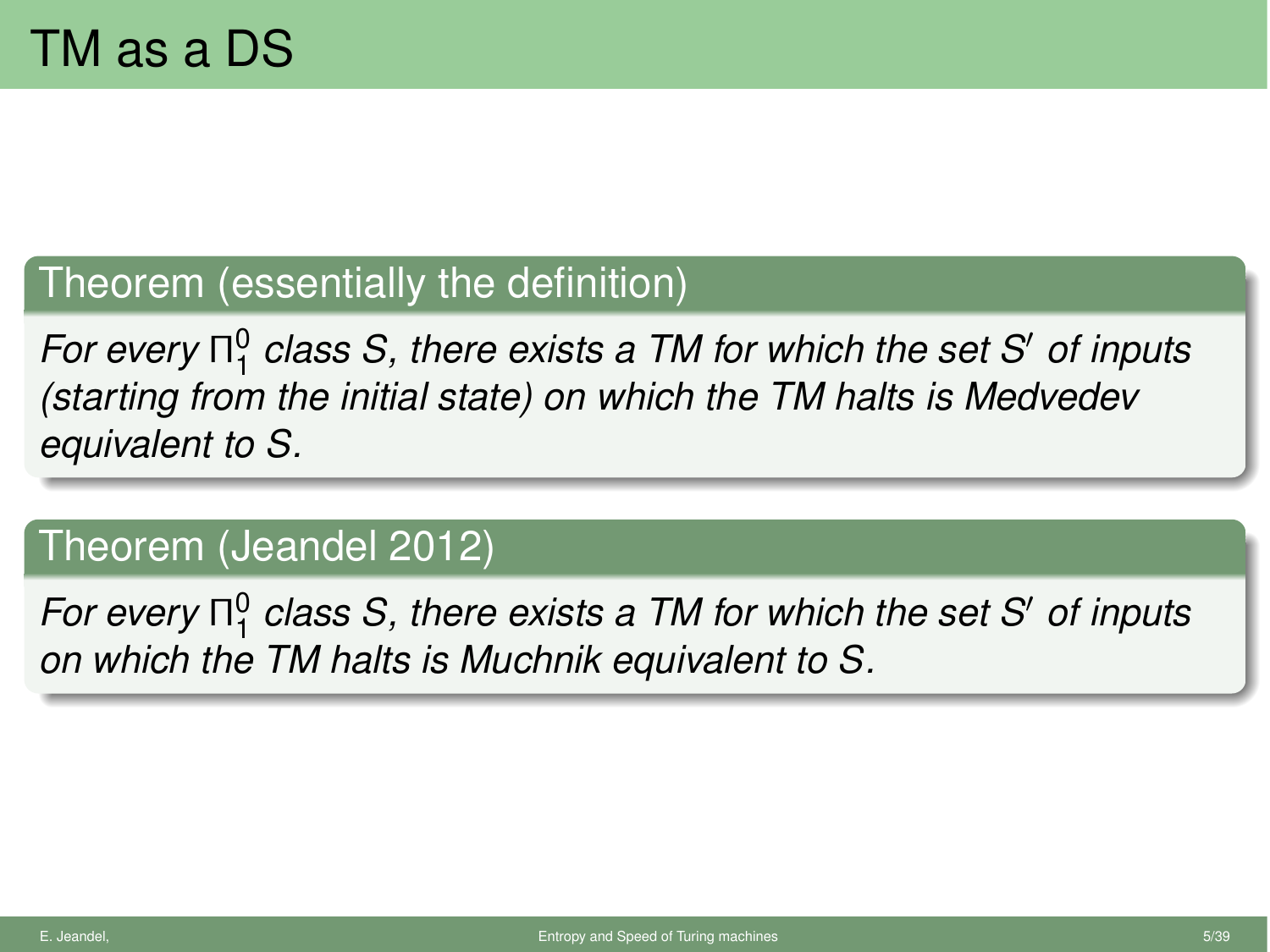## Theorem (essentially the definition)

*For every*  $\Pi_1^0$  *class S, there exists a TM for which the set S' of inputs (starting from the initial state) on which the TM halts is Medvedev equivalent to S.*

## Theorem (Jeandel 2012)

*For every*  $\Pi_1^0$  *class S, there exists a TM for which the set S' of inputs on which the TM halts is Muchnik equivalent to S.*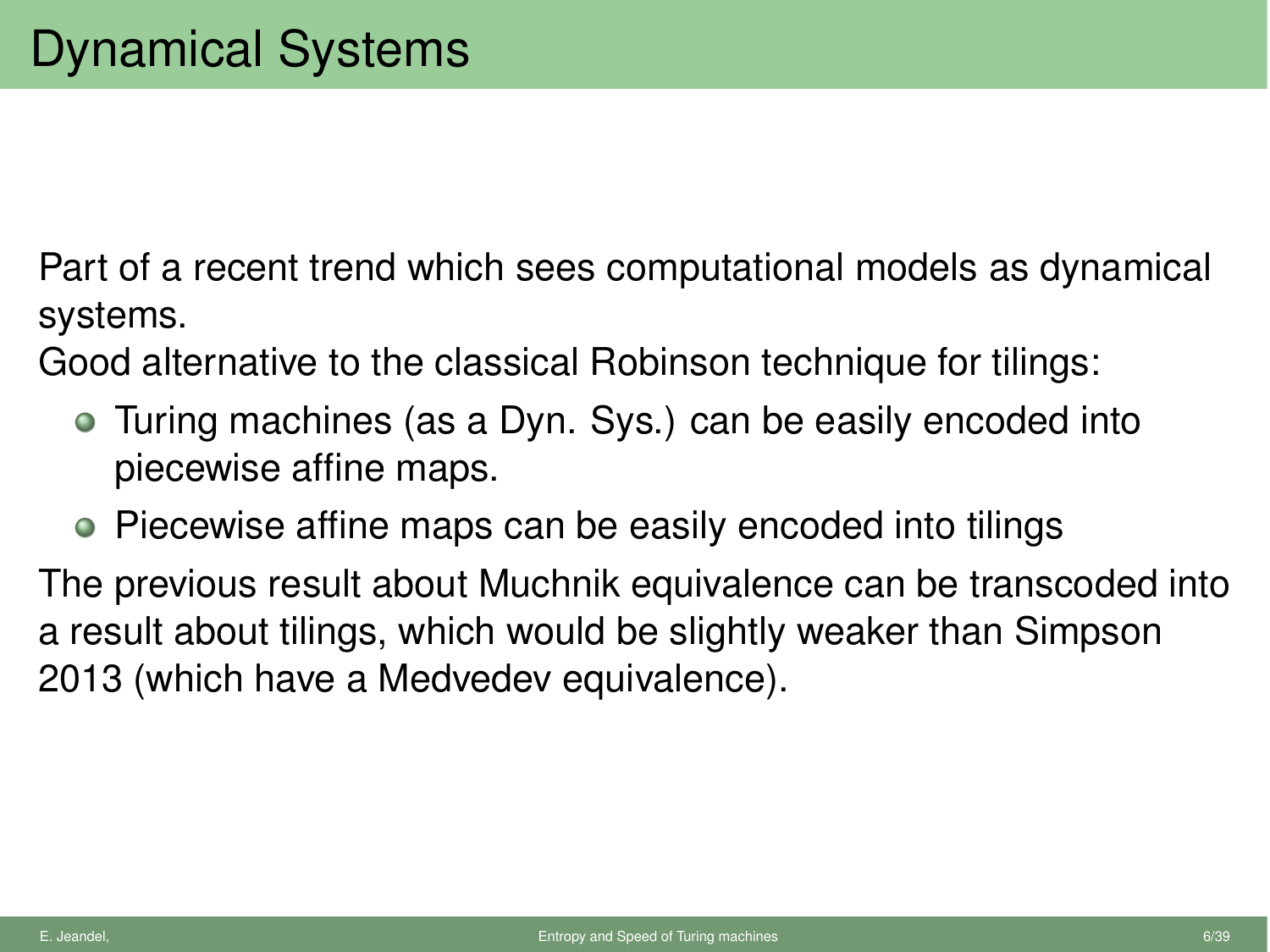Part of a recent trend which sees computational models as dynamical systems.

Good alternative to the classical Robinson technique for tilings:

- Turing machines (as a Dyn. Sys.) can be easily encoded into piecewise affine maps.
- Piecewise affine maps can be easily encoded into tilings

The previous result about Muchnik equivalence can be transcoded into a result about tilings, which would be slightly weaker than Simpson 2013 (which have a Medvedev equivalence).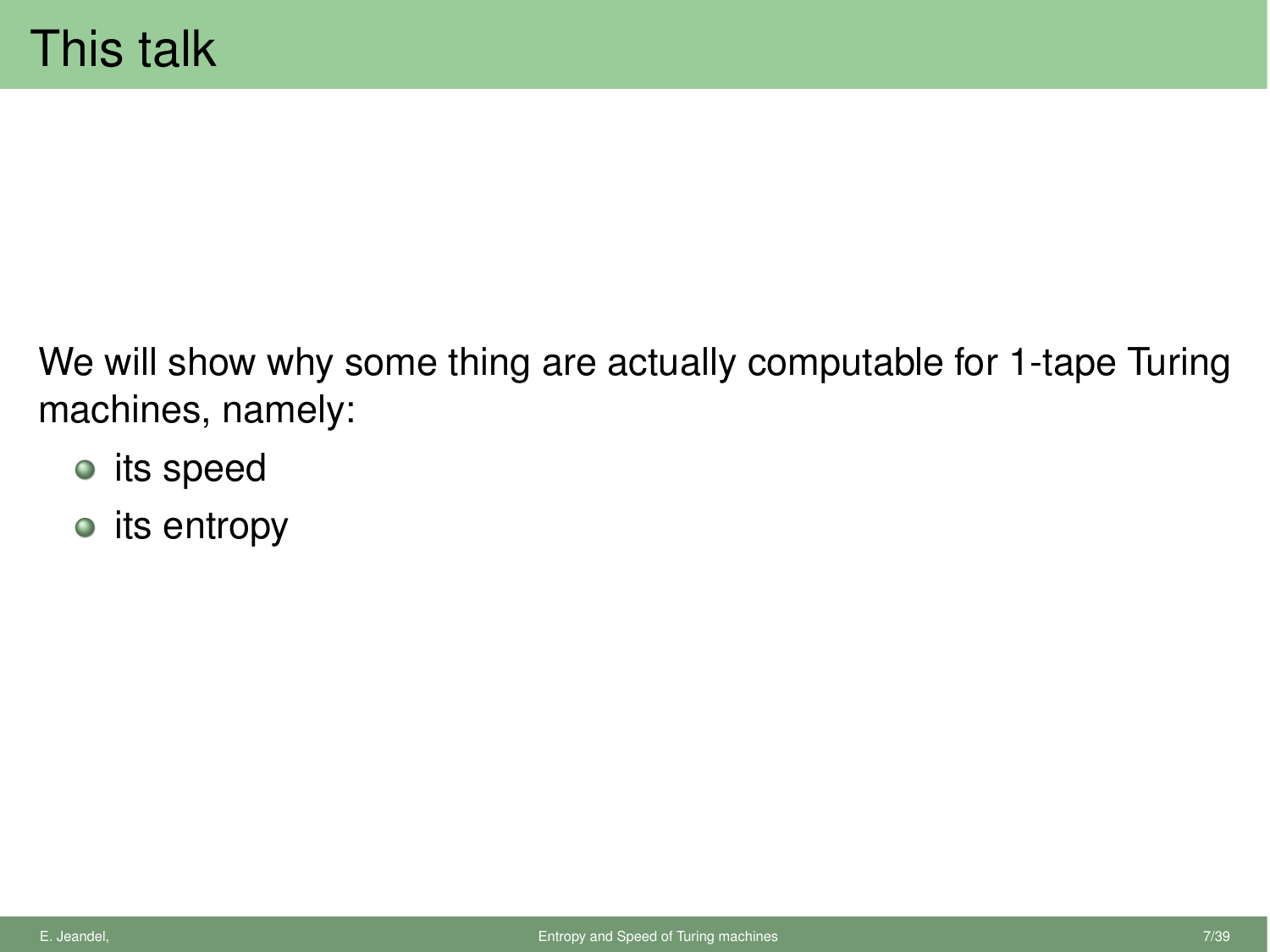We will show why some thing are actually computable for 1-tape Turing machines, namely:

- its speed
- $\bullet$  its entropy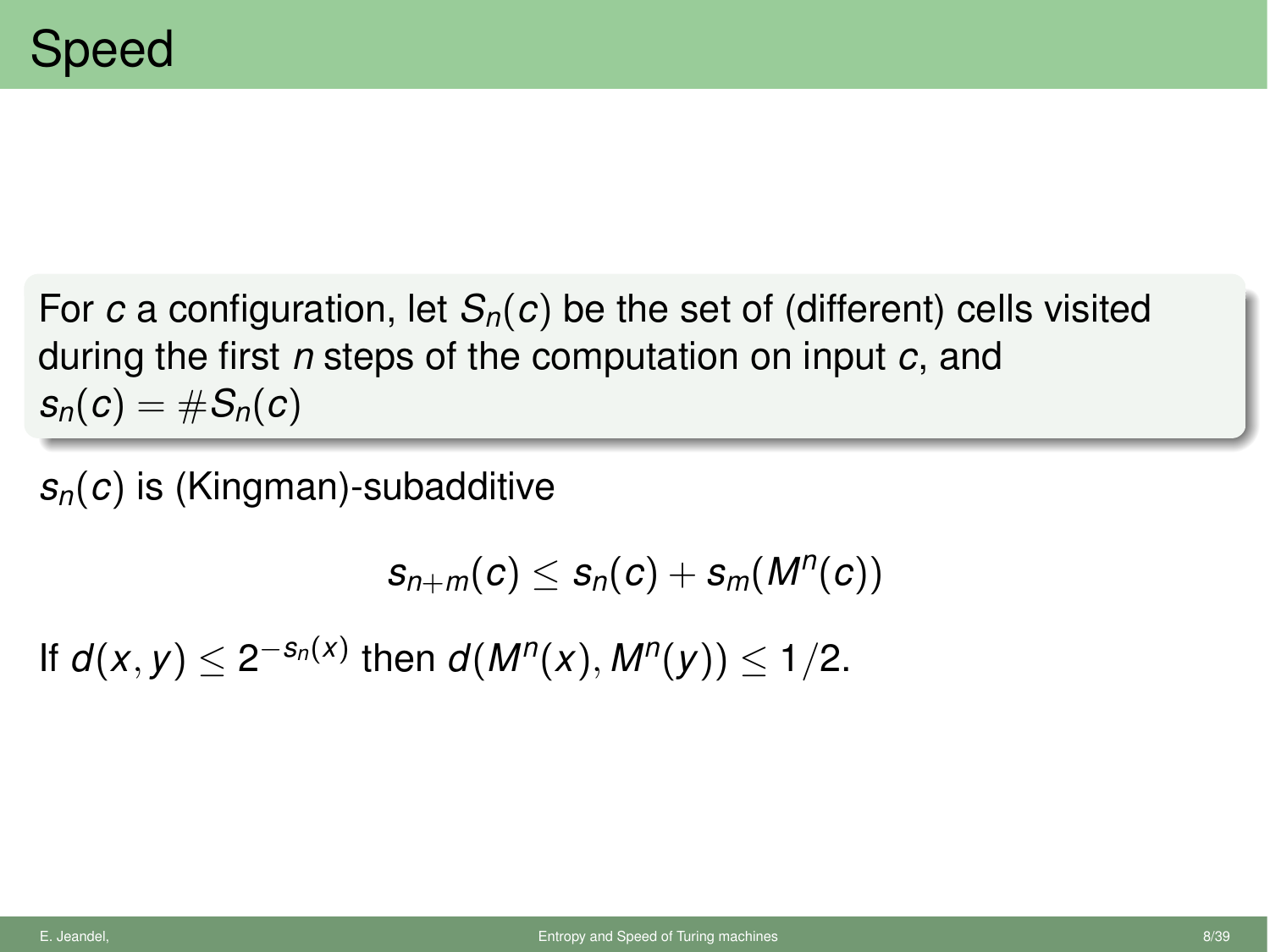For *c* a configuration, let  $S_n(c)$  be the set of (different) cells visited during the first *n* steps of the computation on input *c*, and  $s_n(c) = \#S_n(c)$ 

*sn*(*c*) is (Kingman)-subadditive

$$
s_{n+m}(c) \leq s_n(c) + s_m(M^n(c))
$$

If  $d(x, y) < 2^{-s_n(x)}$  then  $d(M^n(x), M^n(y)) < 1/2$ .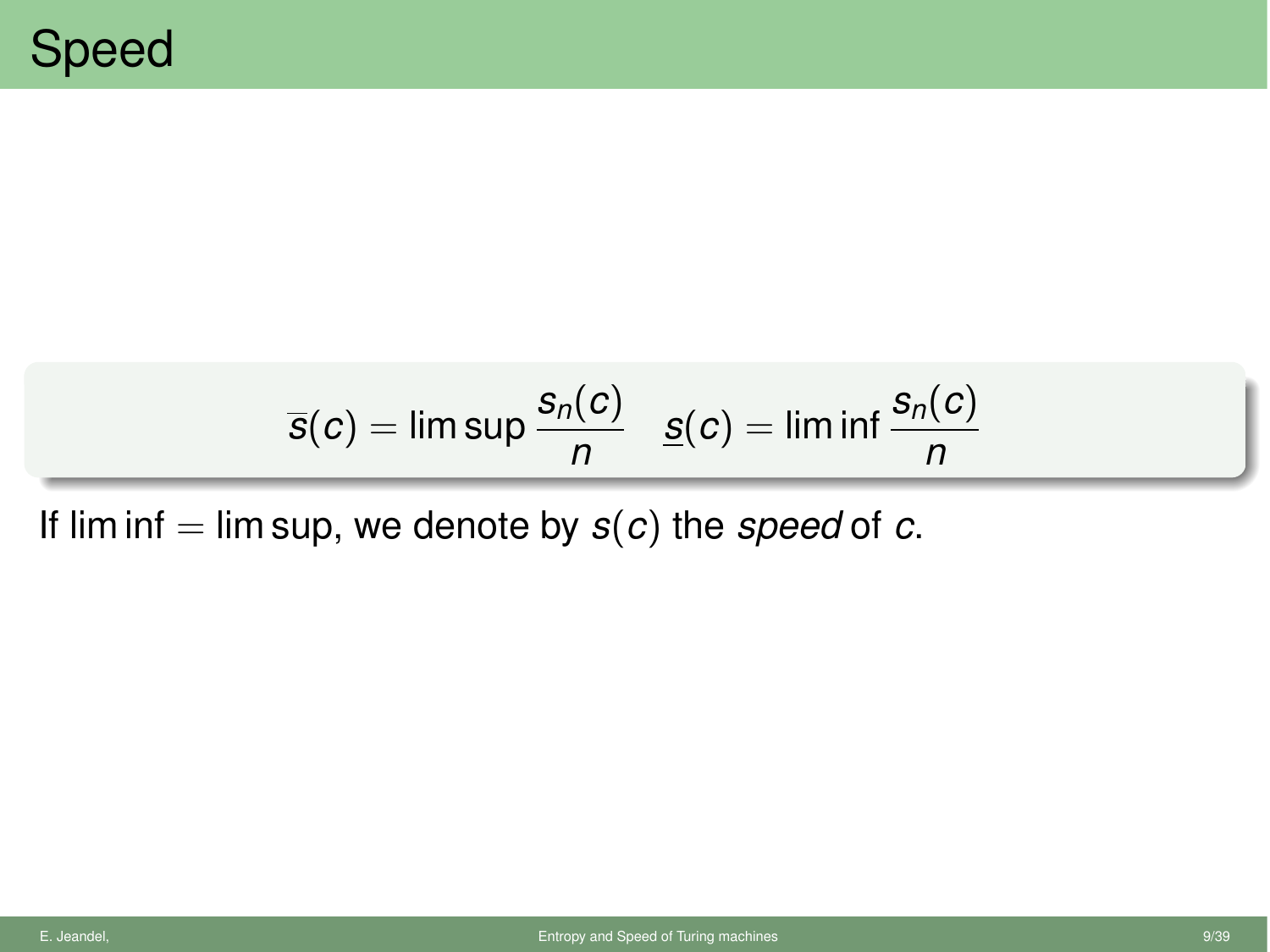$$
\overline{s}(c) = \limsup \frac{s_n(c)}{n} \quad \underline{s}(c) = \liminf \frac{s_n(c)}{n}
$$

If lim inf  $=$  lim sup, we denote by  $s(c)$  the *speed* of *c*.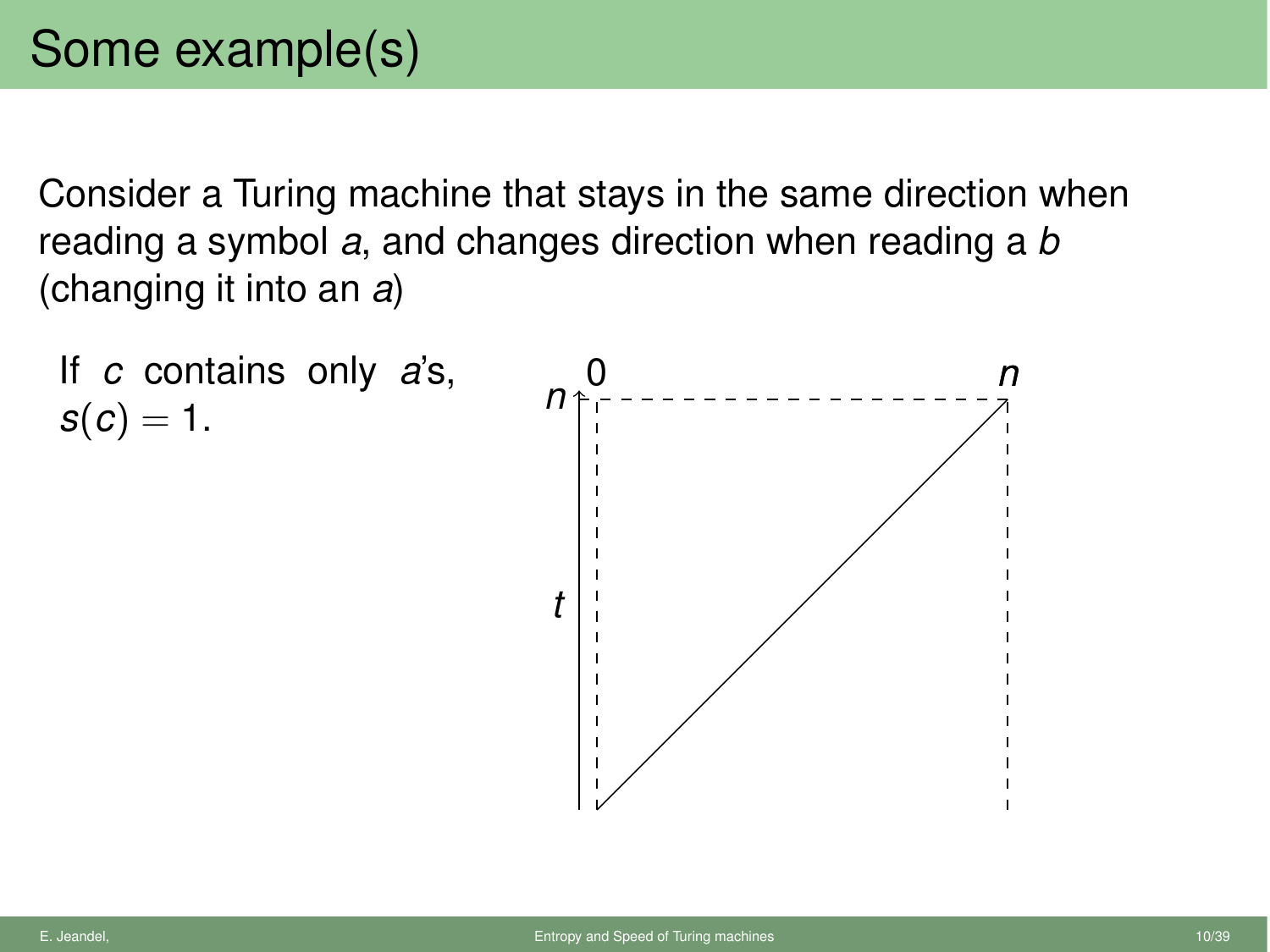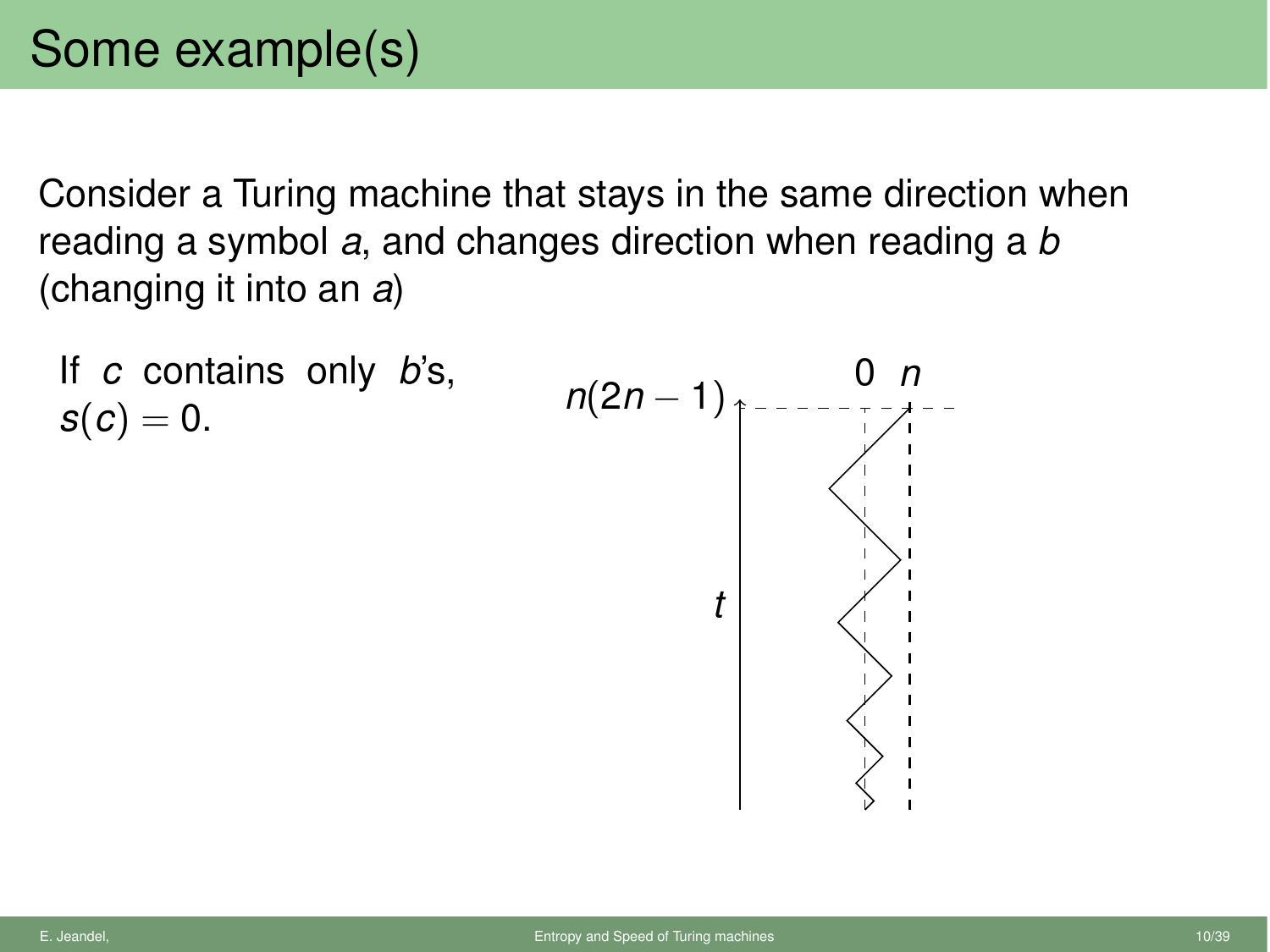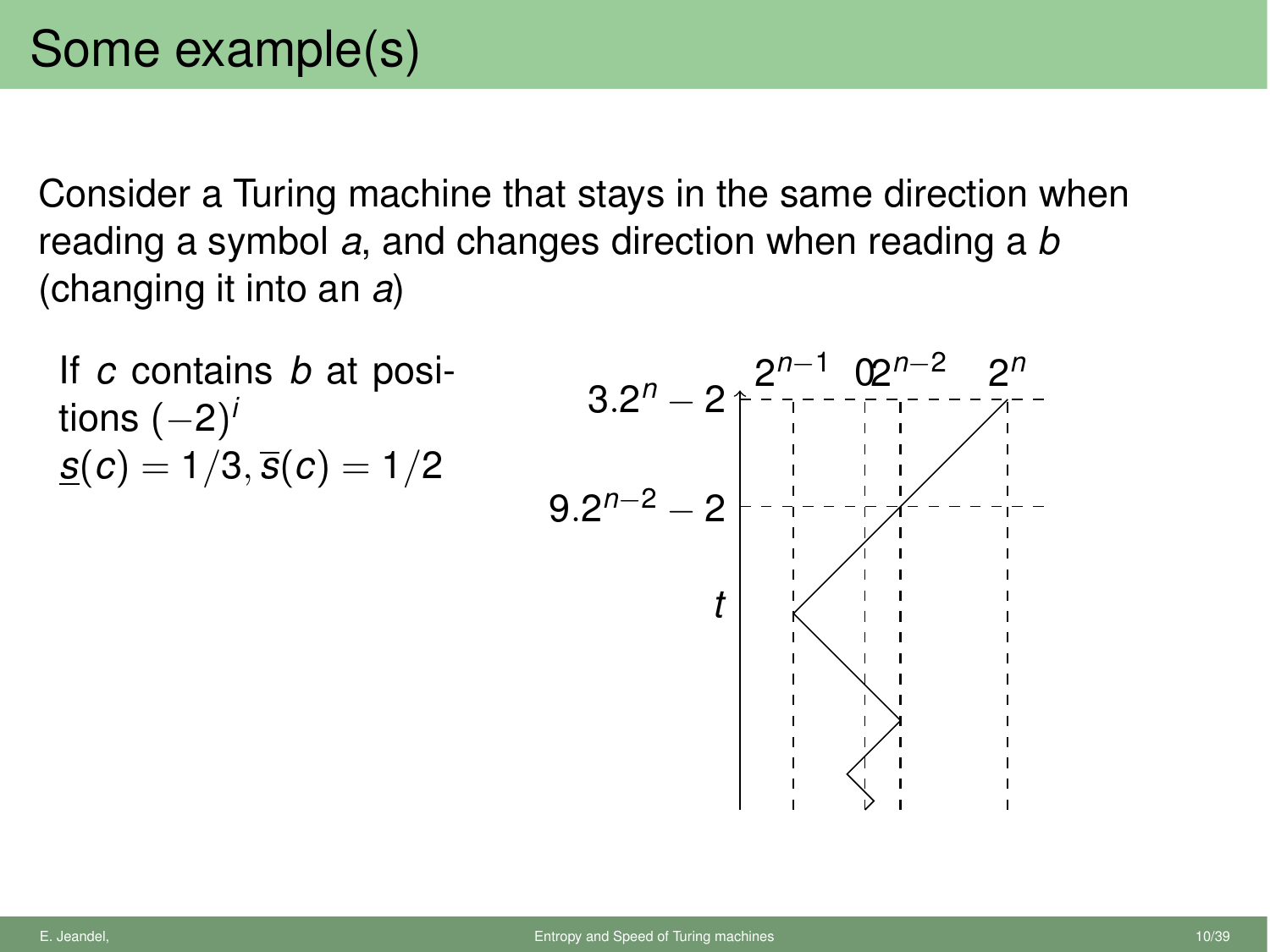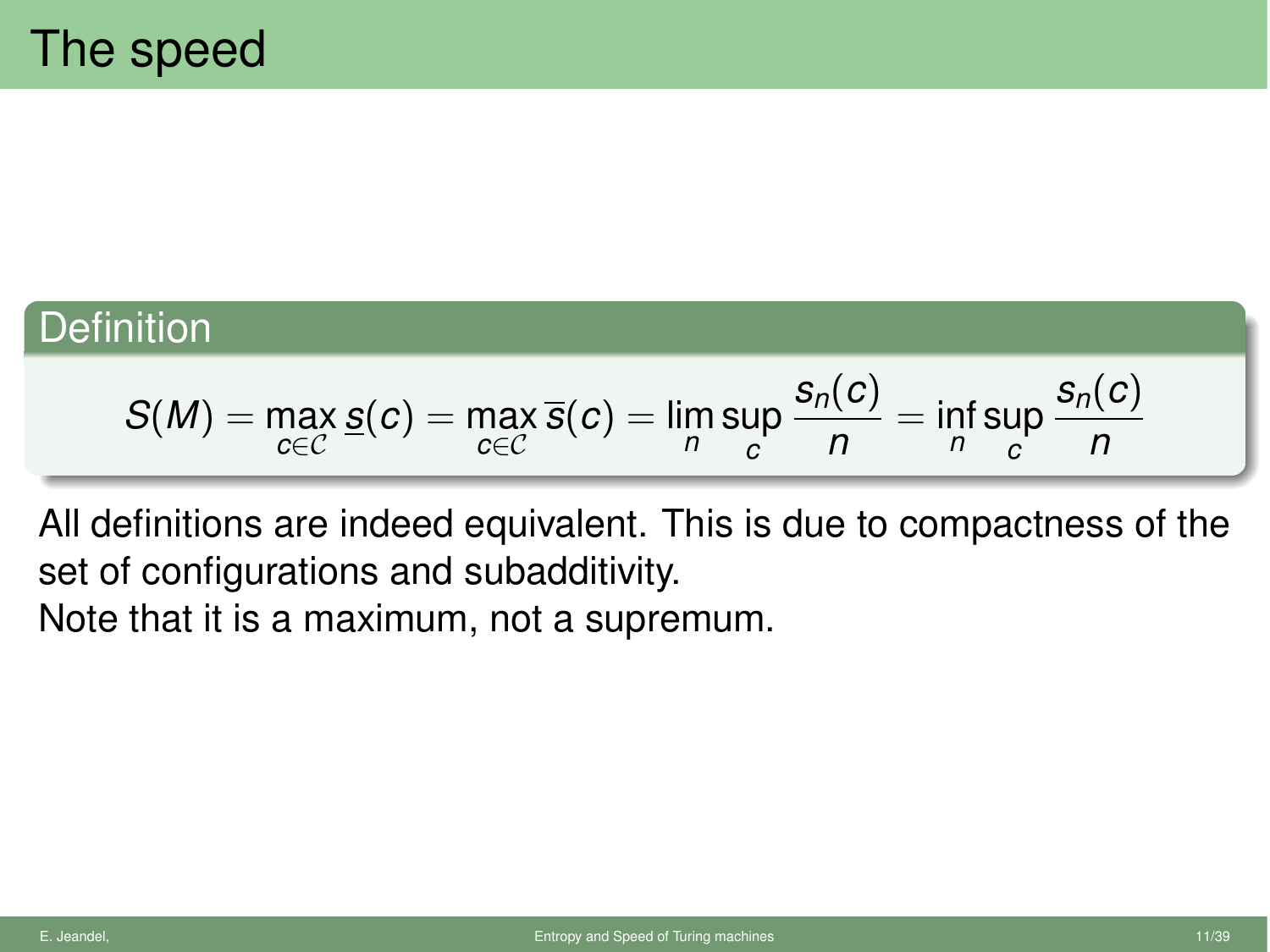## **Definition**

$$
S(M) = \max_{c \in C} s(c) = \max_{c \in C} \overline{s}(c) = \lim_{n} \sup_{c} \frac{s_n(c)}{n} = \inf_{n} \sup_{c} \frac{s_n(c)}{n}
$$

All definitions are indeed equivalent. This is due to compactness of the set of configurations and subadditivity. Note that it is a maximum, not a supremum.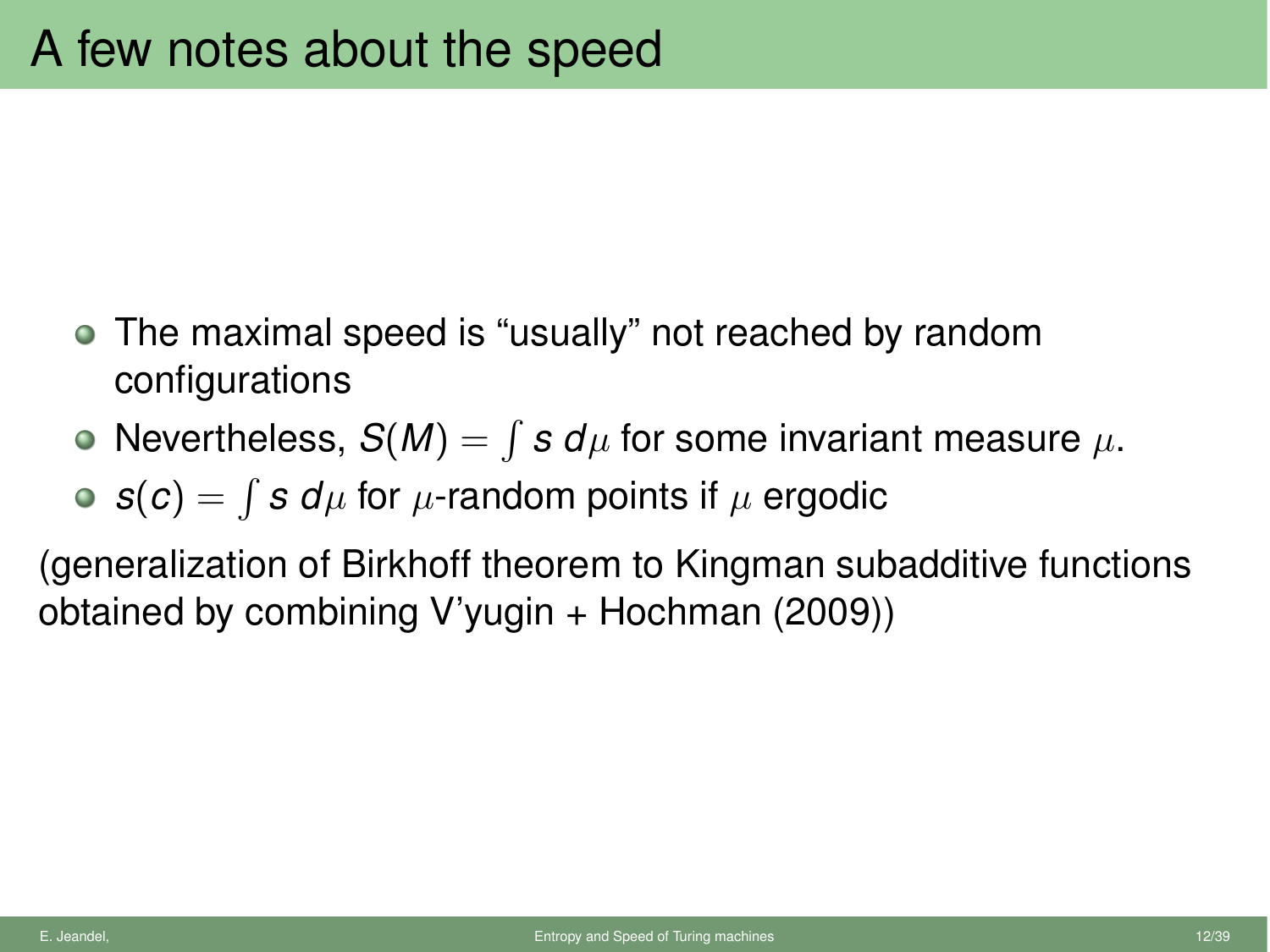- The maximal speed is "usually" not reached by random configurations
- Nevertheless,  $S(M) = \int s d\mu$  for some invariant measure  $\mu$ .

•  $s(c) = \int s d\mu$  for  $\mu$ -random points if  $\mu$  ergodic

(generalization of Birkhoff theorem to Kingman subadditive functions obtained by combining V'yugin  $+$  Hochman (2009))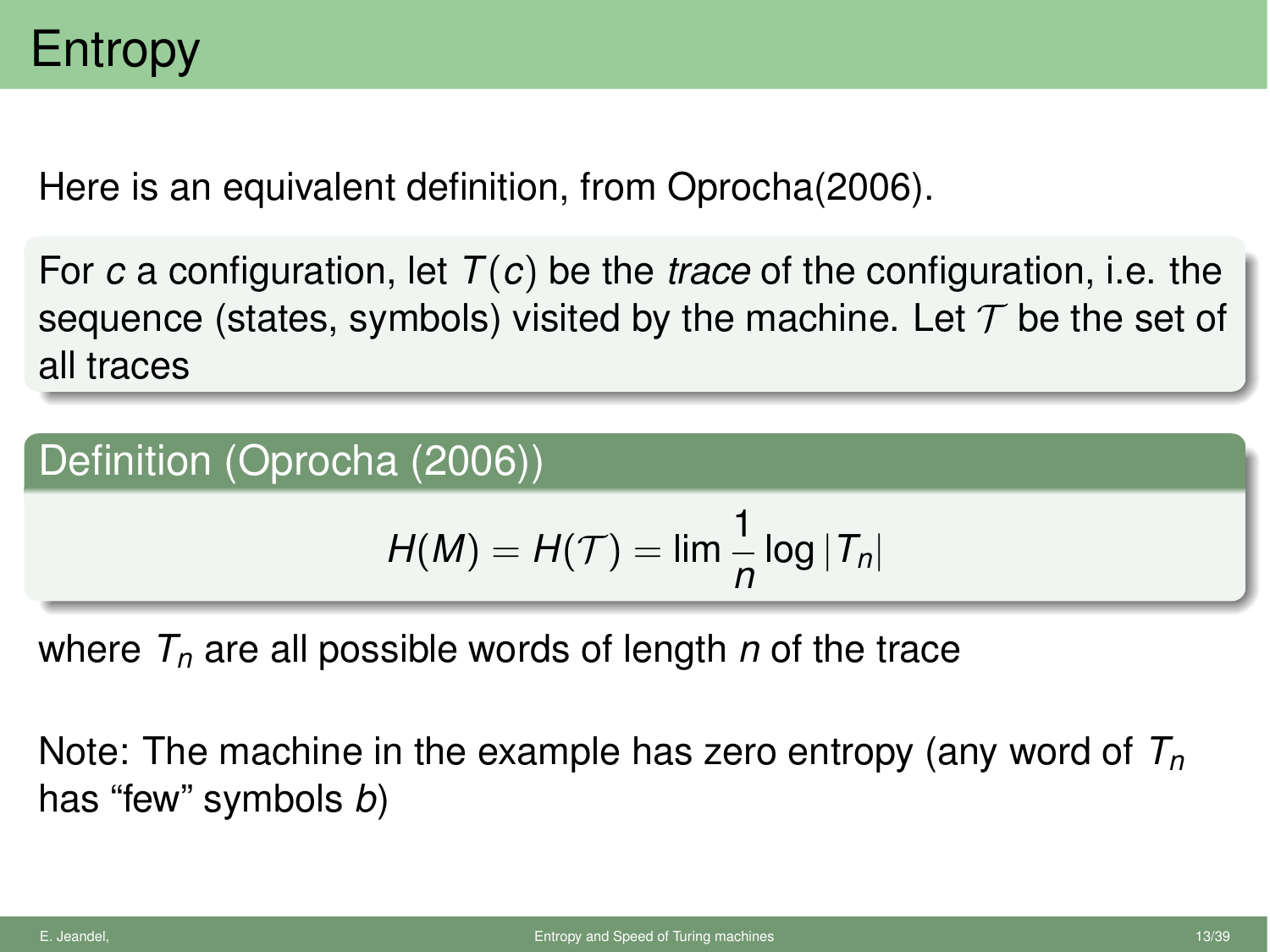Here is an equivalent definition, from Oprocha(2006).

For *c* a configuration, let *T*(*c*) be the *trace* of the configuration, i.e. the sequence (states, symbols) visited by the machine. Let *T* be the set of all traces

#### Definition (Oprocha (2006))

$$
H(M) = H(\mathcal{T}) = \lim \frac{1}{n} \log |\mathcal{T}_n|
$$

where  $T_n$  are all possible words of length  $n$  of the trace

Note: The machine in the example has zero entropy (any word of *Tn* has "few" symbols *b*)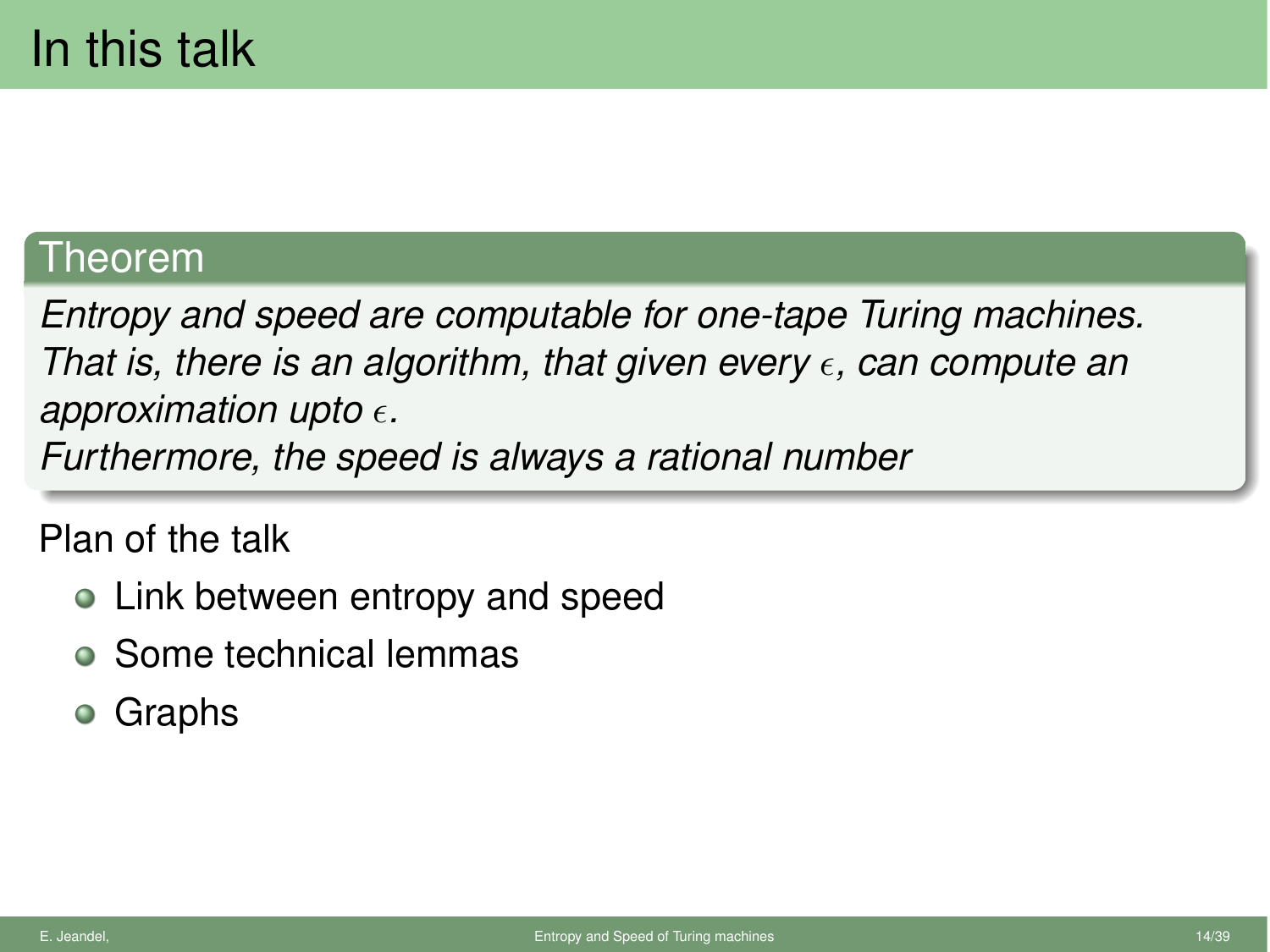### Theorem

*Entropy and speed are computable for one-tape Turing machines. That is, there is an algorithm, that given every*  $\epsilon$ *, can compute an* approximation upto  $\epsilon$ .

*Furthermore, the speed is always a rational number*

Plan of the talk

- Link between entropy and speed
- Some technical lemmas
- Graphs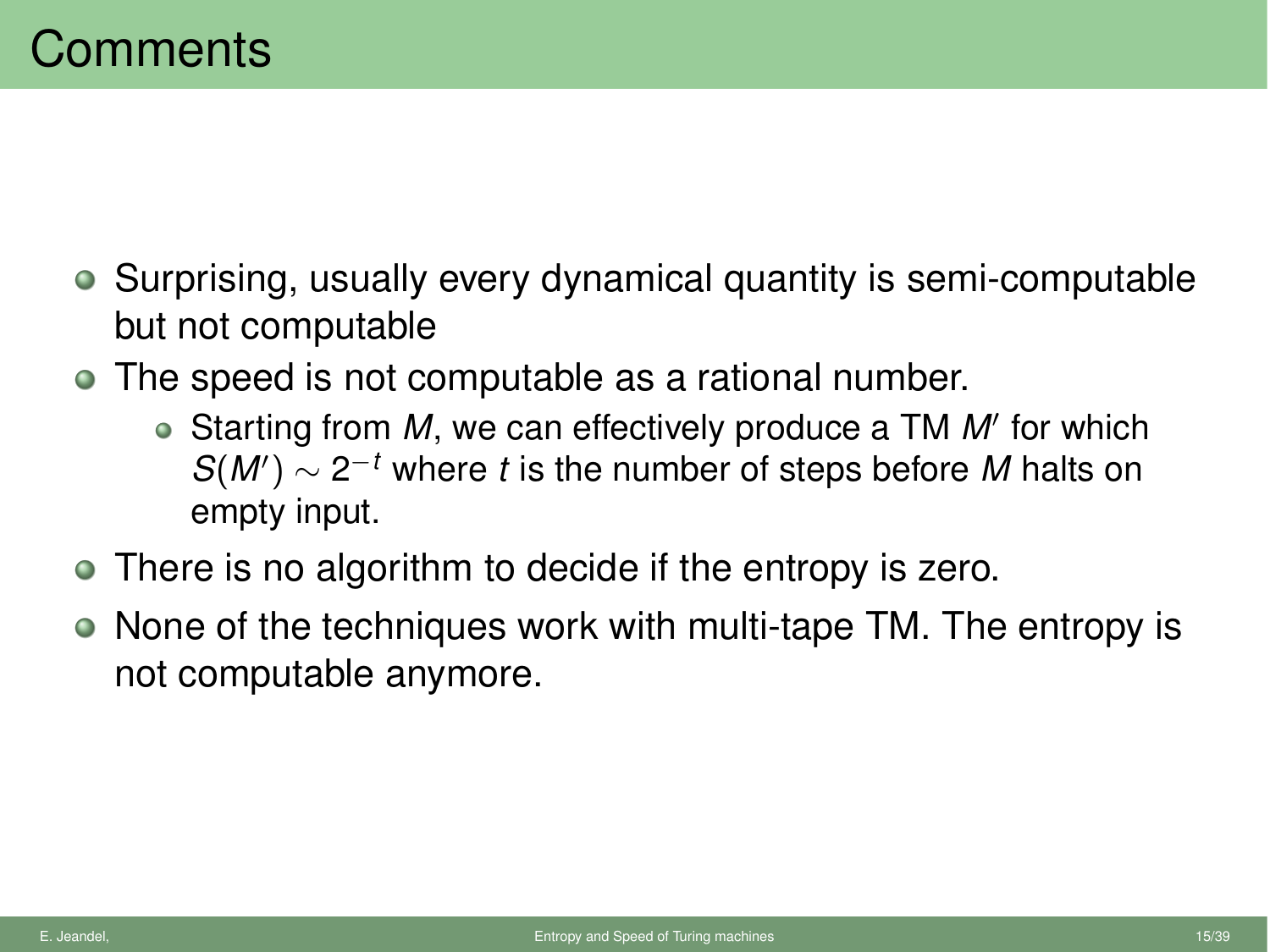- Surprising, usually every dynamical quantity is semi-computable but not computable
- The speed is not computable as a rational number.
	- Starting from M, we can effectively produce a TM M' for which  $S(M') \sim 2^{-t}$  where *t* is the number of steps before *M* halts on empty input.
- There is no algorithm to decide if the entropy is zero.
- None of the techniques work with multi-tape TM. The entropy is not computable anymore.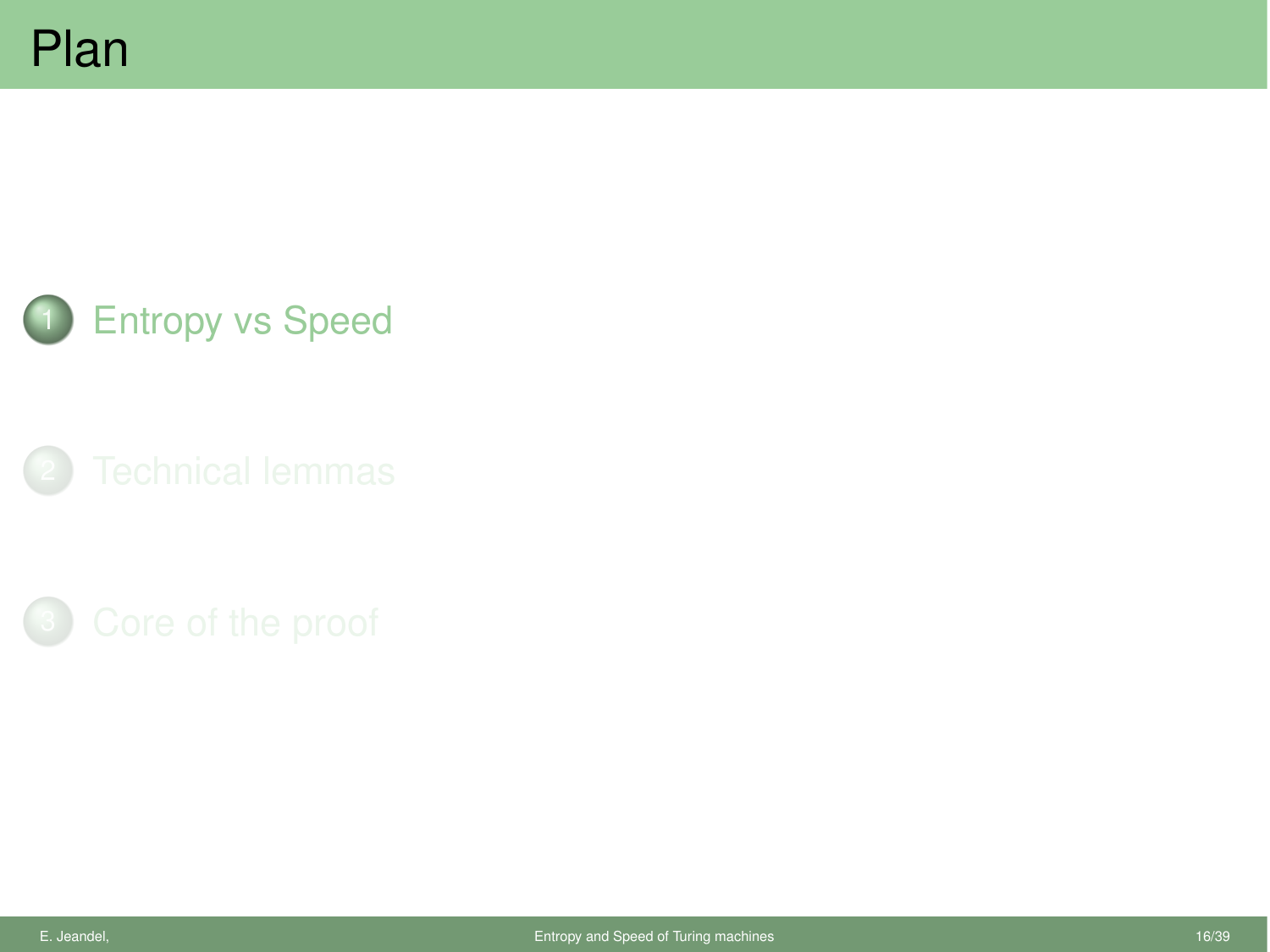

**[Entropy vs Speed](#page-18-0)** 

<span id="page-18-0"></span>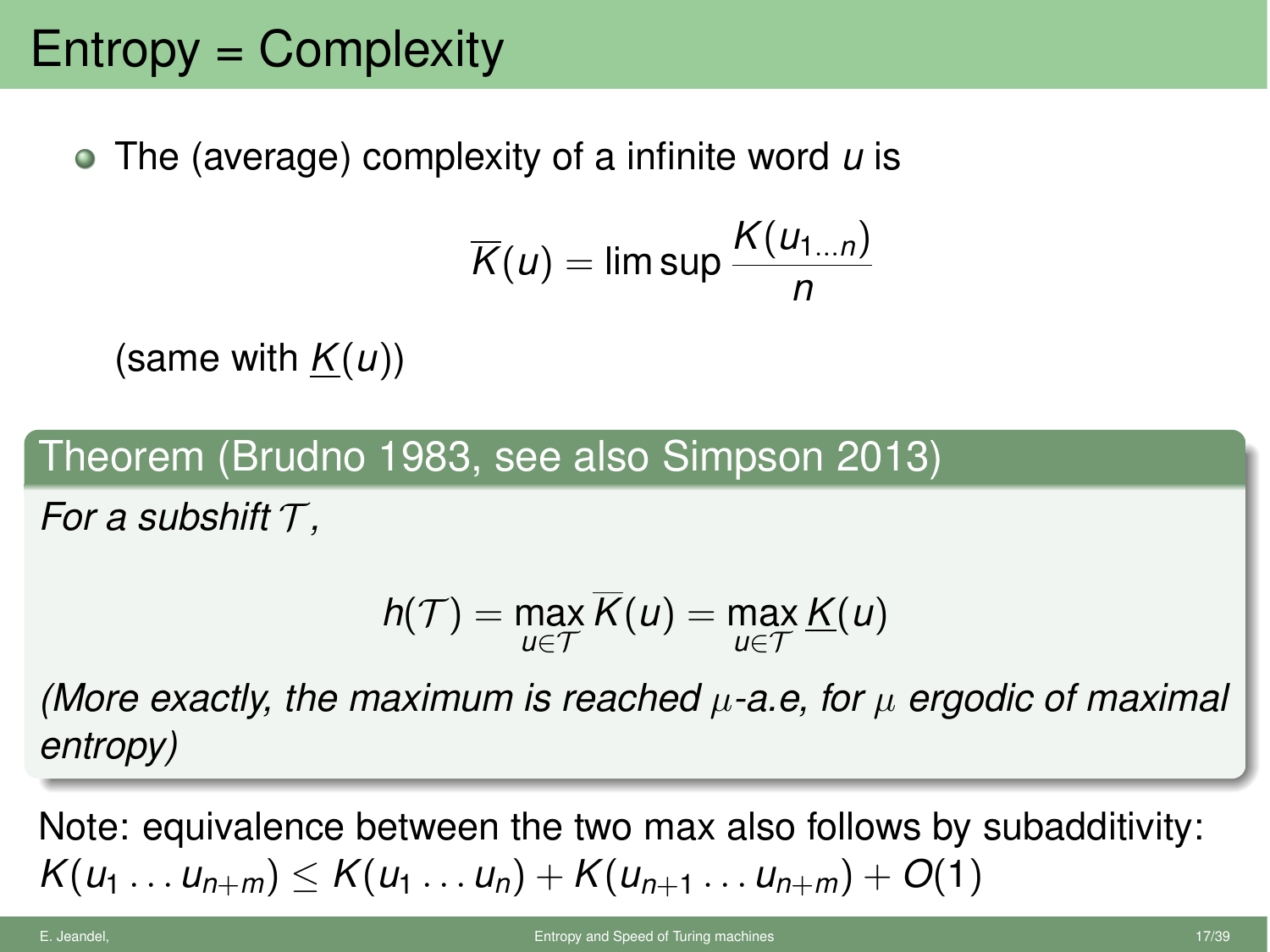# Entropy = Complexity

The (average) complexity of a infinite word *u* is

$$
\overline{K}(u) = \limsup \frac{K(u_{1...n})}{n}
$$

(same with *K*(*u*))

Theorem (Brudno 1983, see also Simpson 2013)

*For a subshift T ,*

$$
h(\mathcal{T}) = \max_{u \in \mathcal{T}} \overline{K}(u) = \max_{u \in \mathcal{T}} \underline{K}(u)
$$

*(More exactly, the maximum is reached µ-a.e, for µ ergodic of maximal entropy)*

Note: equivalence between the two max also follows by subadditivity:  $K(u_1 \ldots u_{n+m}) \leq K(u_1 \ldots u_n) + K(u_{n+1} \ldots u_{n+m}) + O(1)$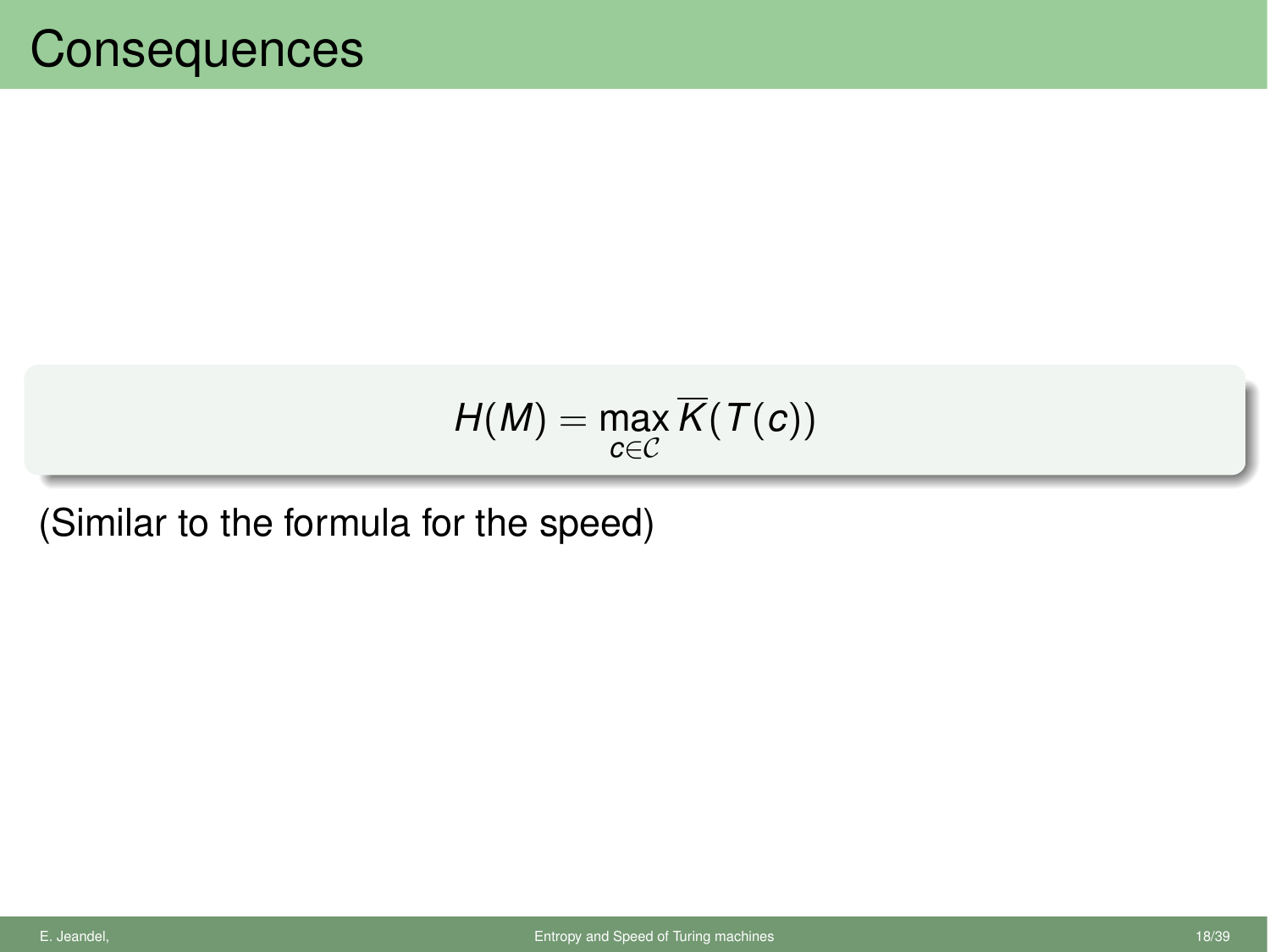$$
H(M)=\max_{c\in\mathcal{C}}\overline{K}(T(c))
$$

(Similar to the formula for the speed)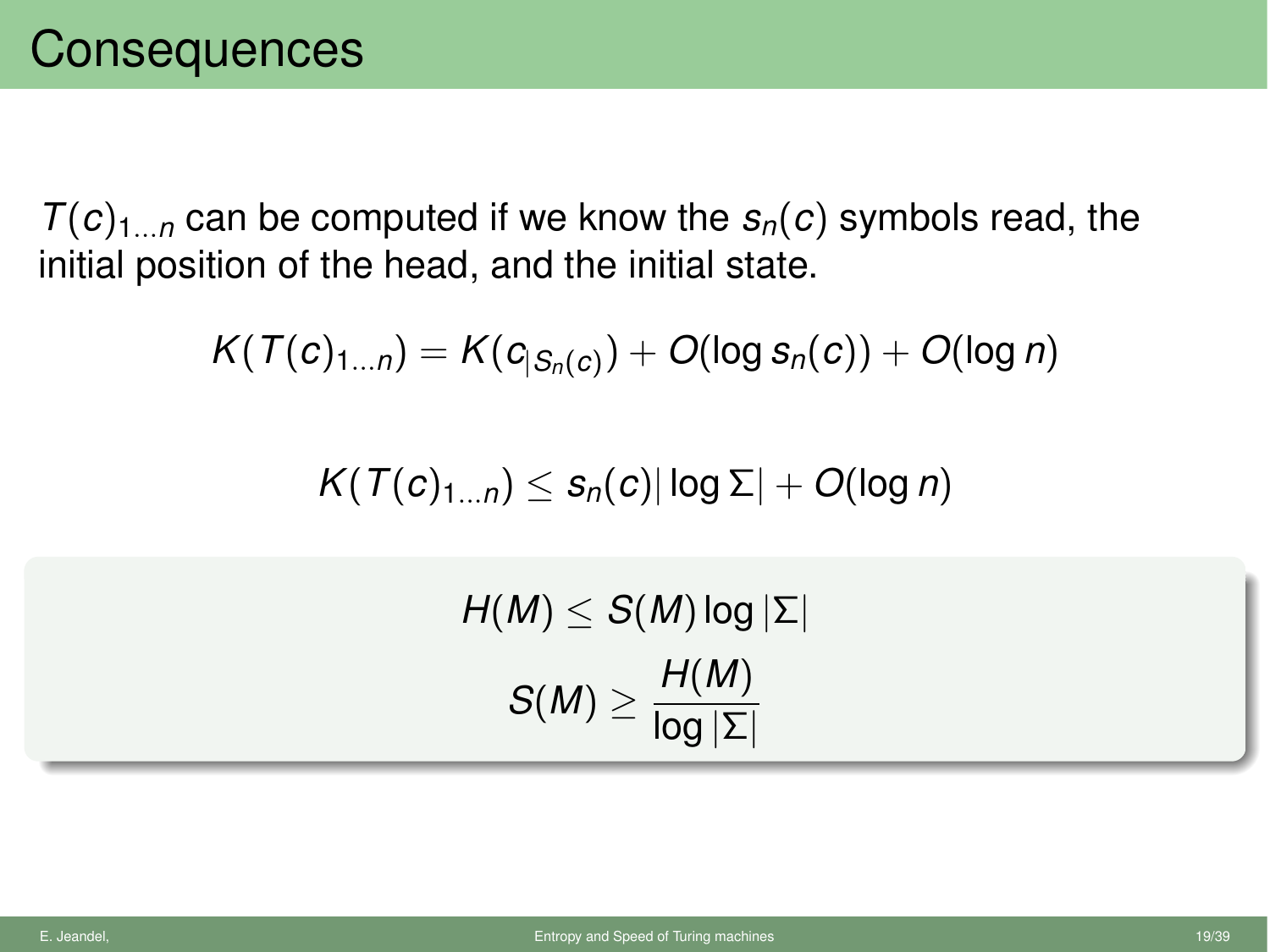$T(c)_{1...n}$  can be computed if we know the  $s_n(c)$  symbols read, the initial position of the head, and the initial state.

$$
K(T(c)_{1...n})=K(c_{|S_n(c)})+O(\log s_n(c))+O(\log n)
$$

 $K(T(c)<sub>1</sub>, n) \leq s_n(c) |\log \Sigma| + O(\log n)$ 

 $H(M) \leq S(M) \log |\Sigma|$  $S(M) \geq \frac{H(M)}{\log |\Sigma|}$ log *|*⌃*|*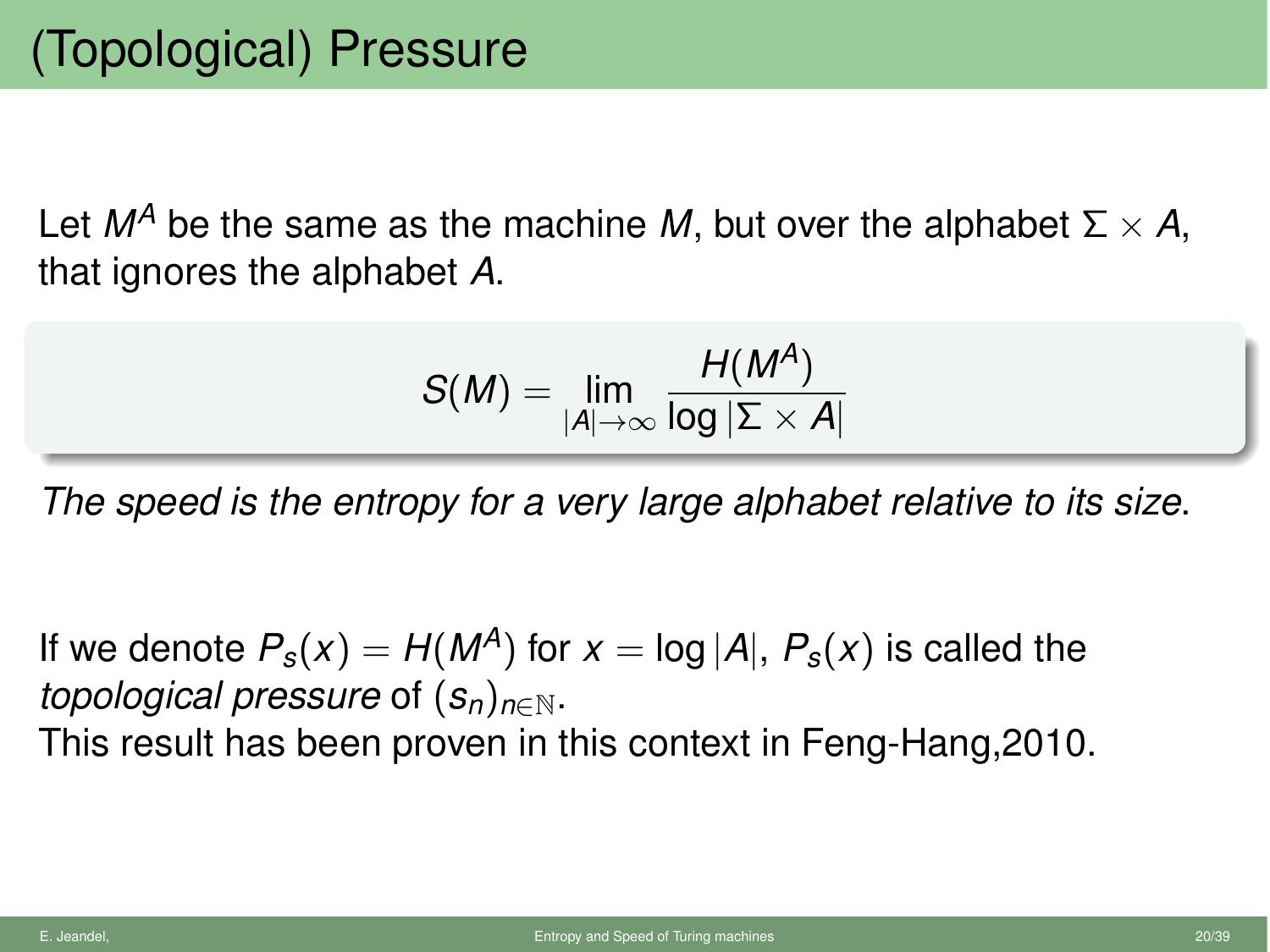Let  $M^A$  be the same as the machine M, but over the alphabet  $\Sigma \times A$ , that ignores the alphabet *A*.

$$
S(M) = \lim_{|A| \to \infty} \frac{H(M^A)}{\log |\Sigma \times A|}
$$

*The speed is the entropy for a very large alphabet relative to its size*.

If we denote  $P_s(x) = H(M^A)$  for  $x = \log |A|$ ,  $P_s(x)$  is called the *topological pressure* of  $(s_n)_{n\in\mathbb{N}}$ .

This result has been proven in this context in Feng-Hang,2010.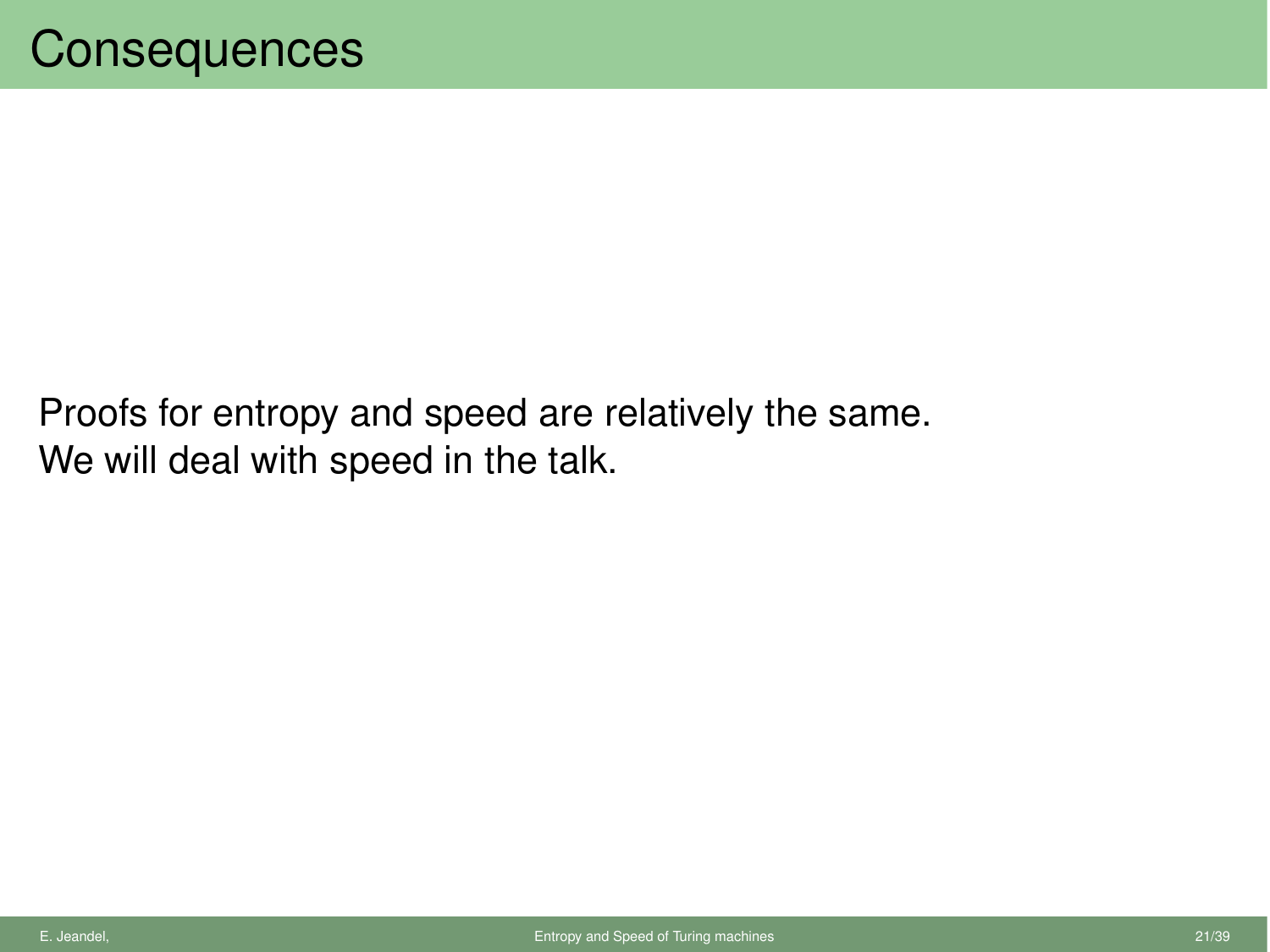Proofs for entropy and speed are relatively the same. We will deal with speed in the talk.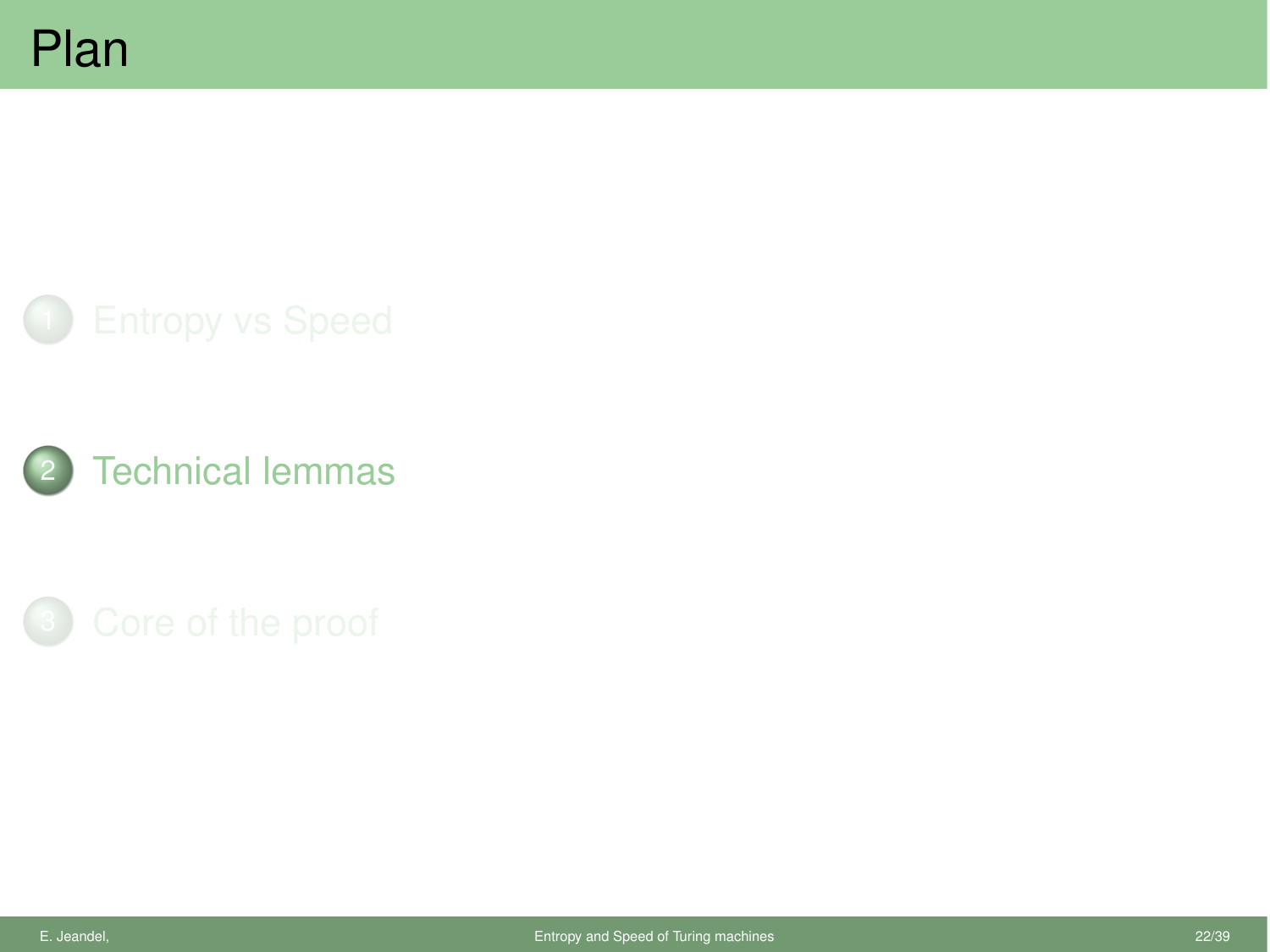

<span id="page-24-0"></span>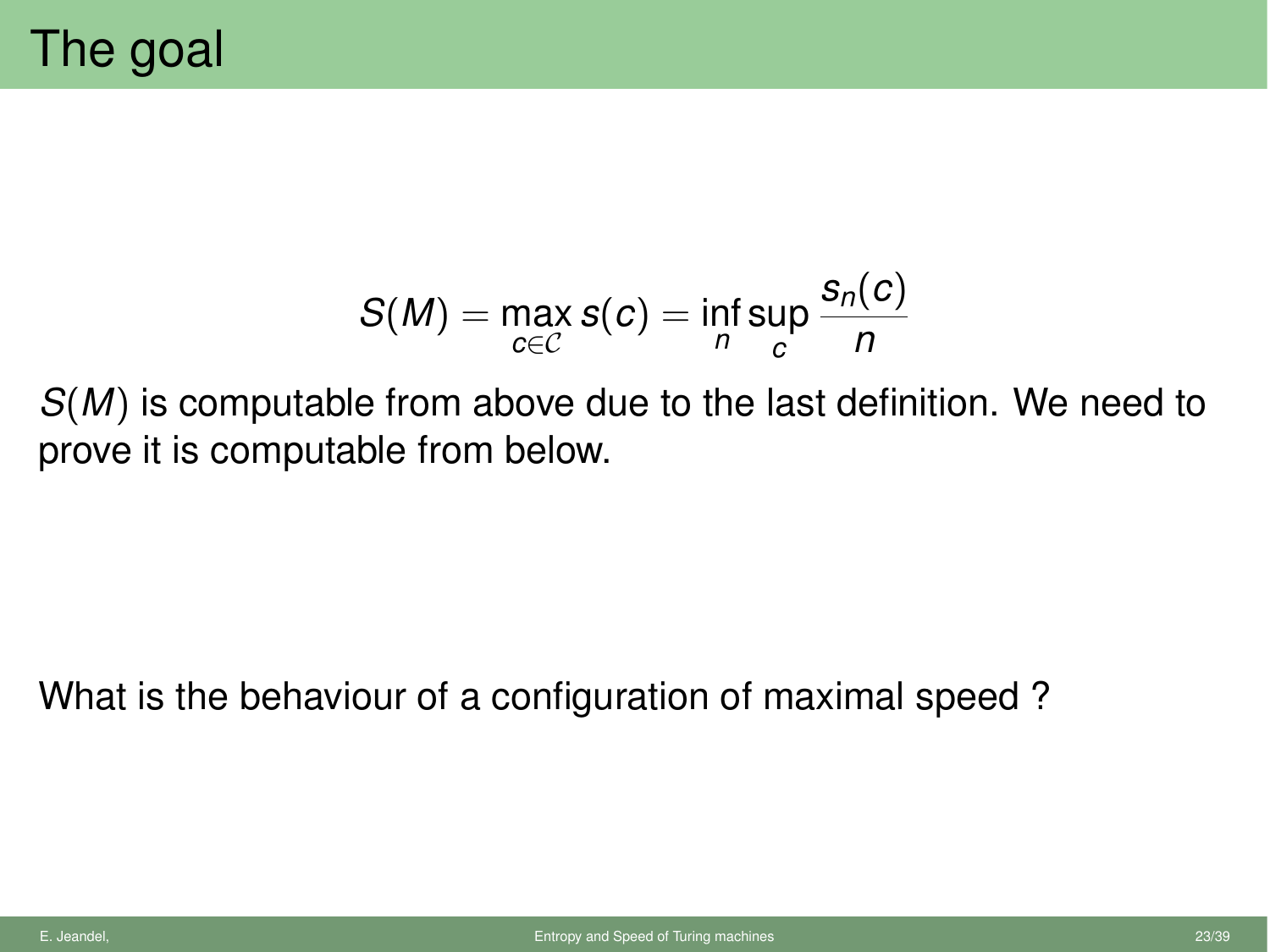$$
S(M) = \max_{c \in C} s(c) = \inf_{n} \sup_{c} \frac{s_n(c)}{n}
$$

*S*(*M*) is computable from above due to the last definition. We need to prove it is computable from below.

What is the behaviour of a configuration of maximal speed ?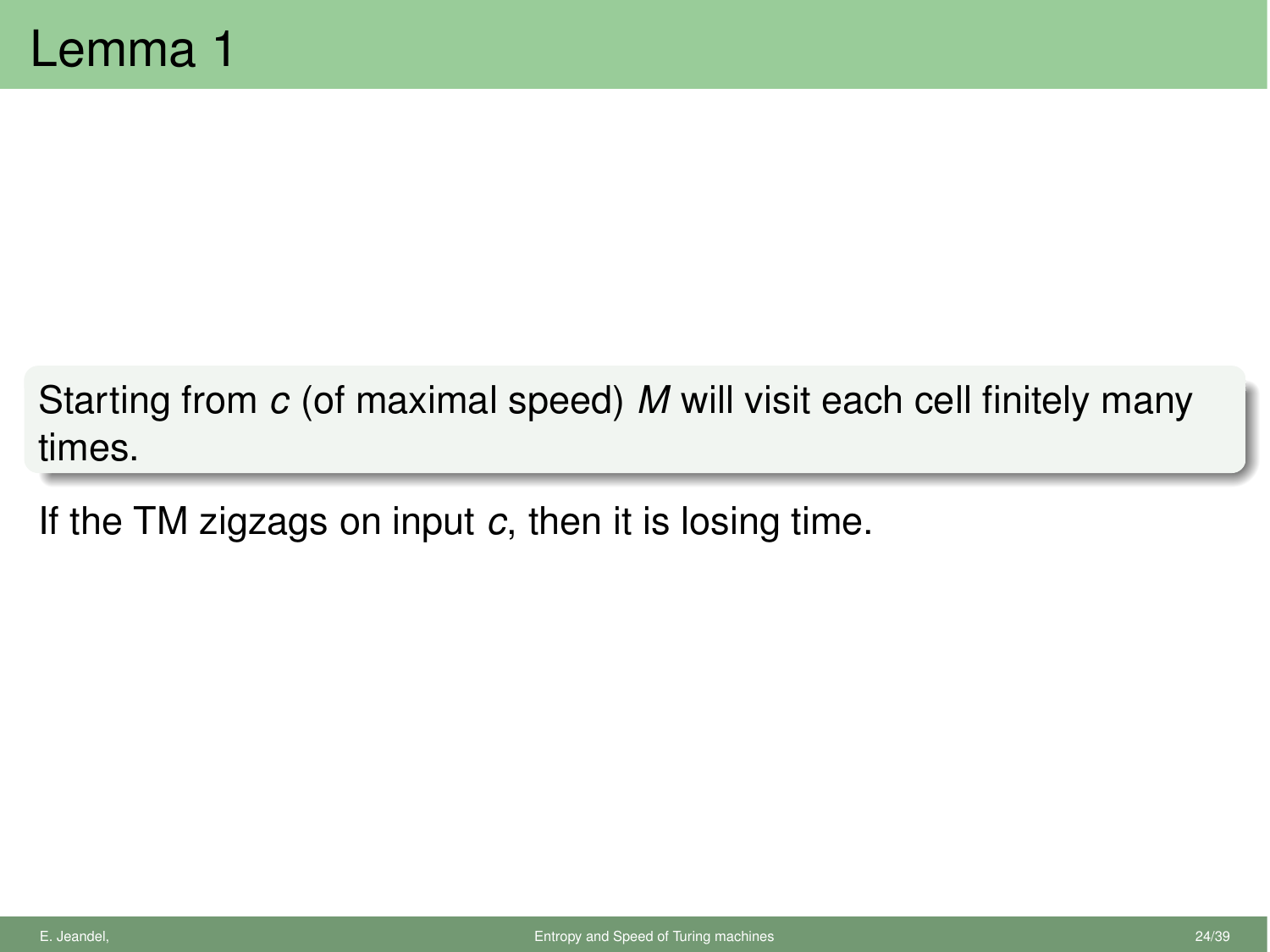Starting from *c* (of maximal speed) *M* will visit each cell finitely many times.

If the TM zigzags on input *c*, then it is losing time.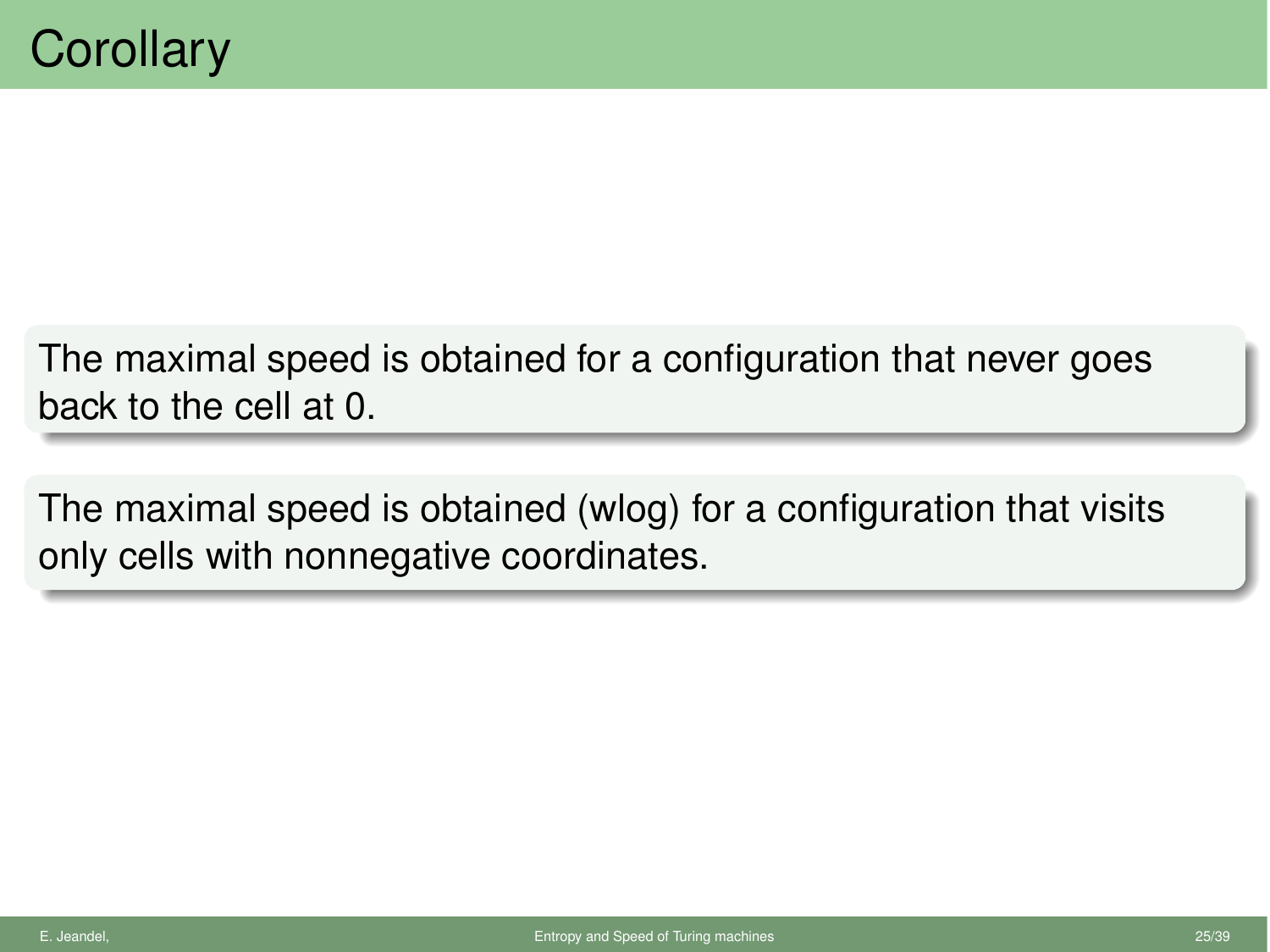The maximal speed is obtained for a configuration that never goes back to the cell at 0.

The maximal speed is obtained (wlog) for a configuration that visits only cells with nonnegative coordinates.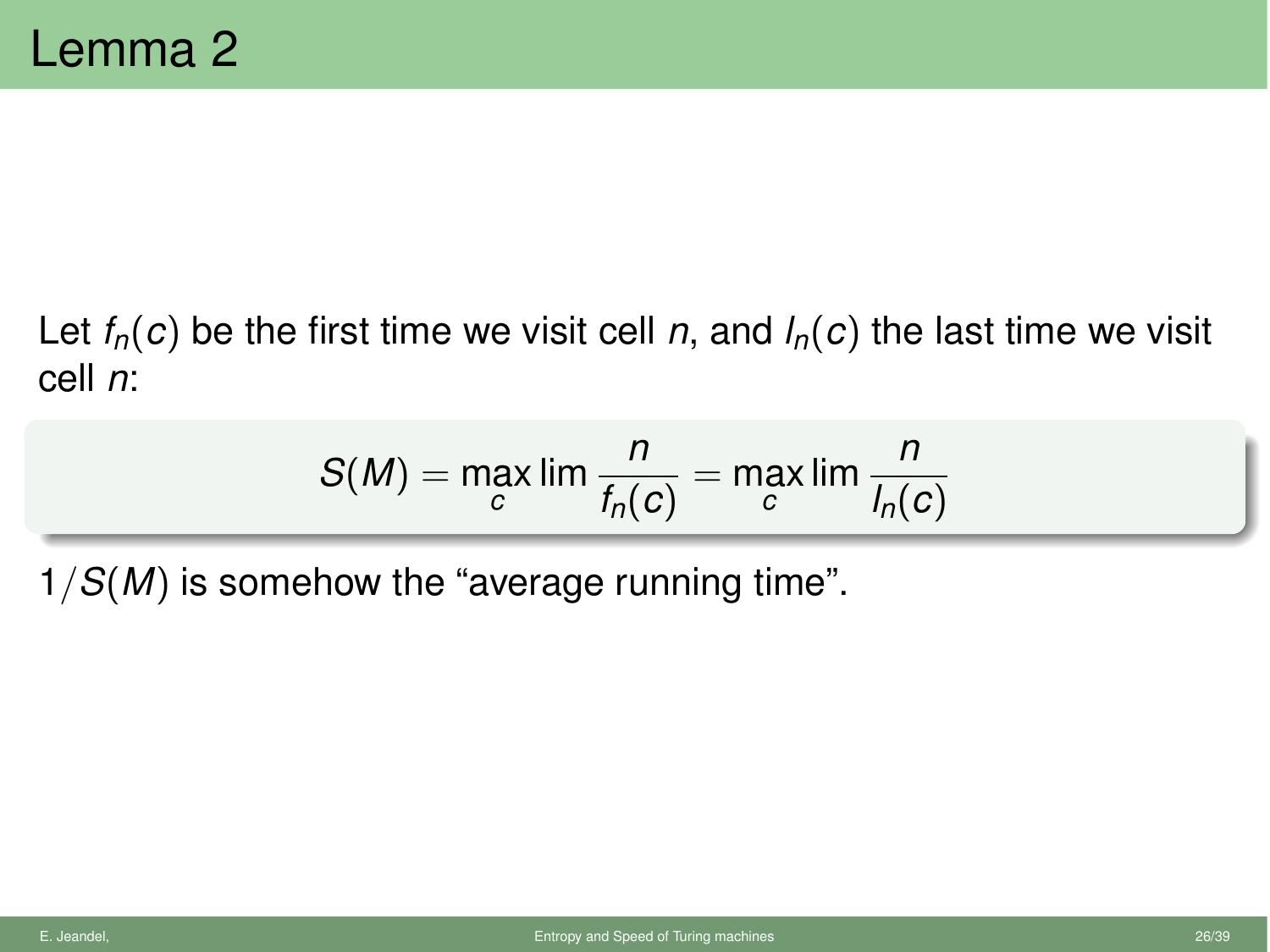## Let  $f_n(c)$  be the first time we visit cell *n*, and  $I_n(c)$  the last time we visit cell *n*:

$$
S(M) = \max_{c} \lim \frac{n}{f_n(c)} = \max_{c} \lim \frac{n}{I_n(c)}
$$

1*/S*(*M*) is somehow the "average running time".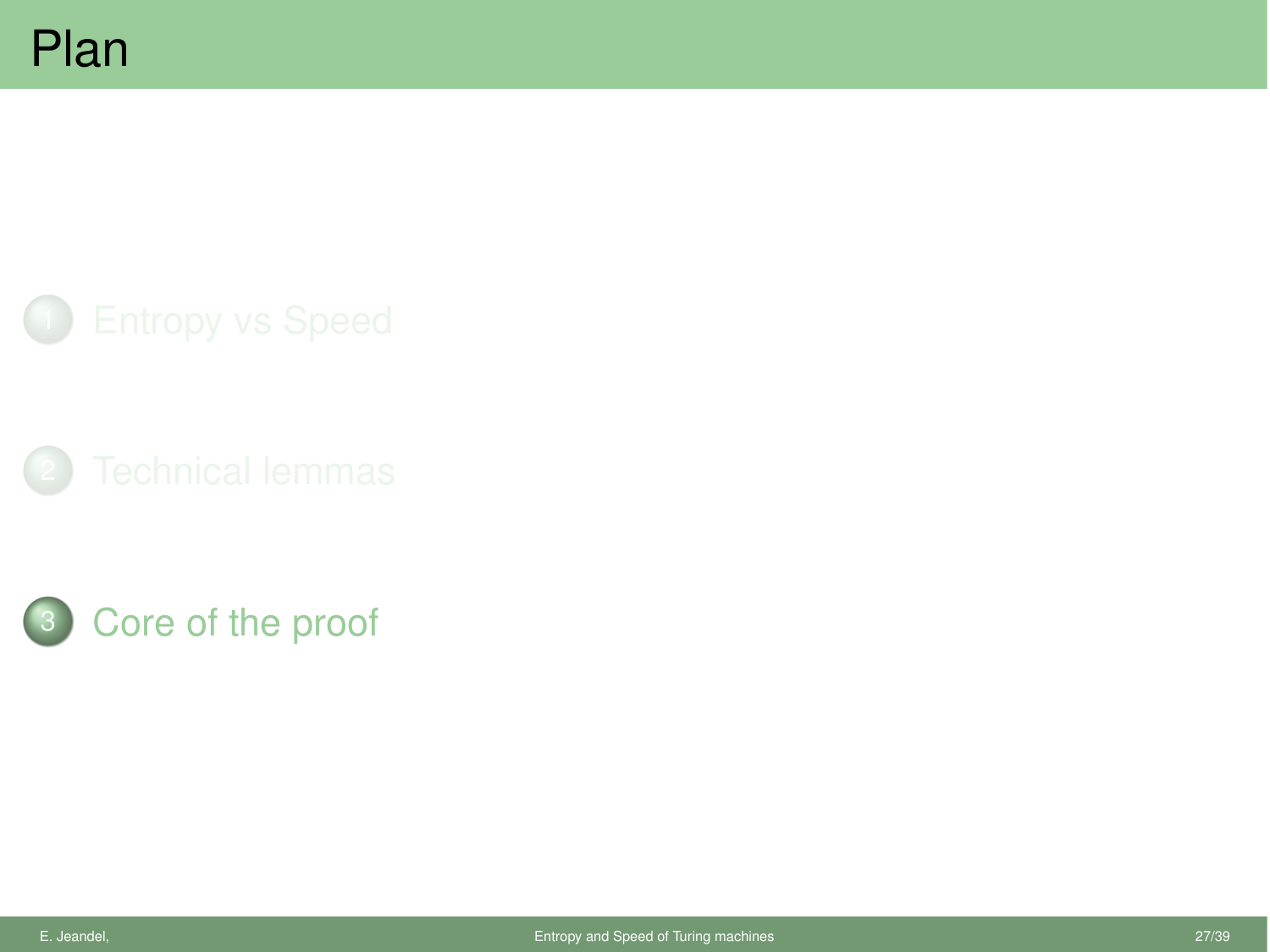<span id="page-29-0"></span>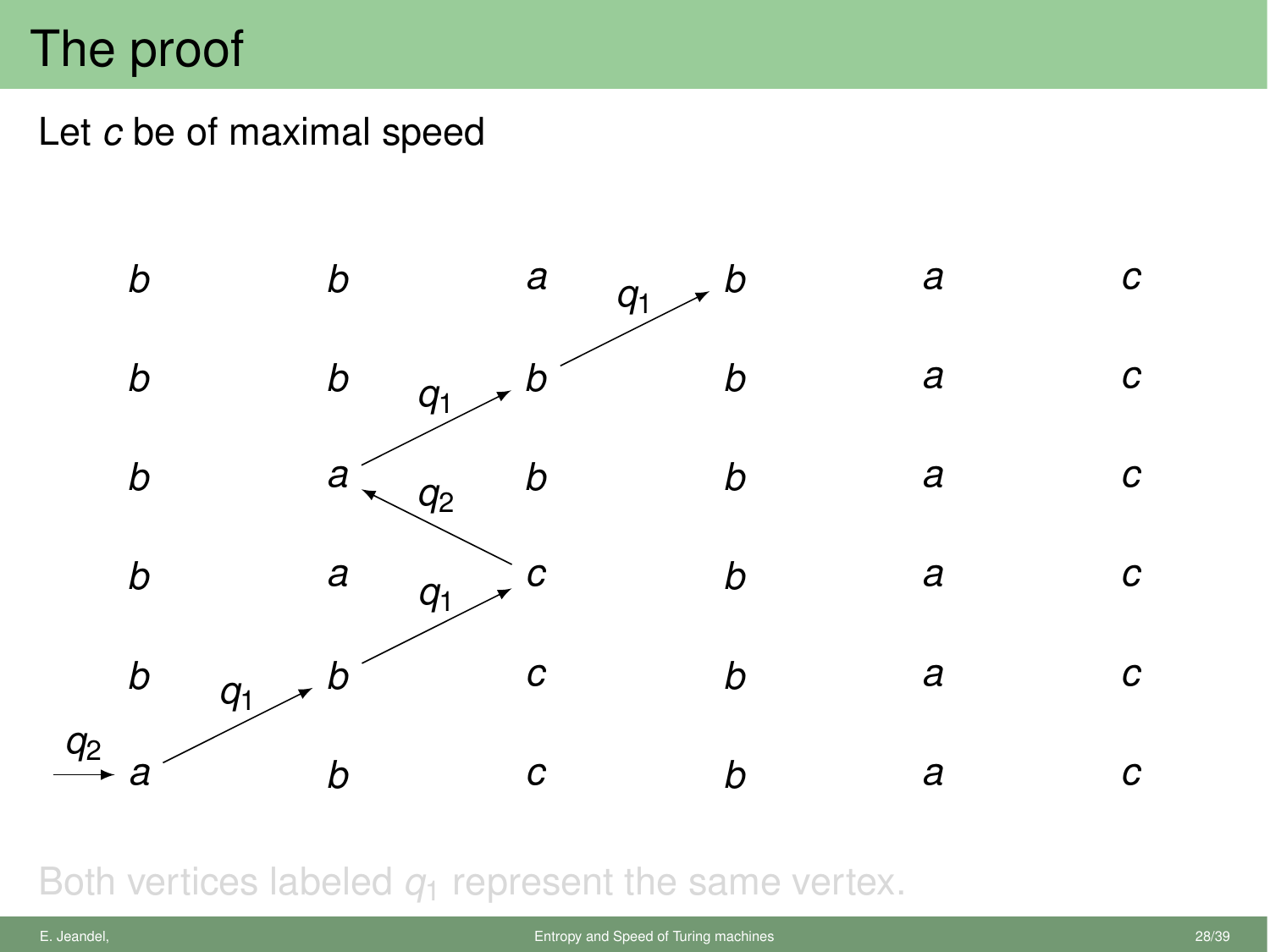## The proof

Let *c* be of maximal speed



Both vertices labeled  $q_1$  represent the same vertex.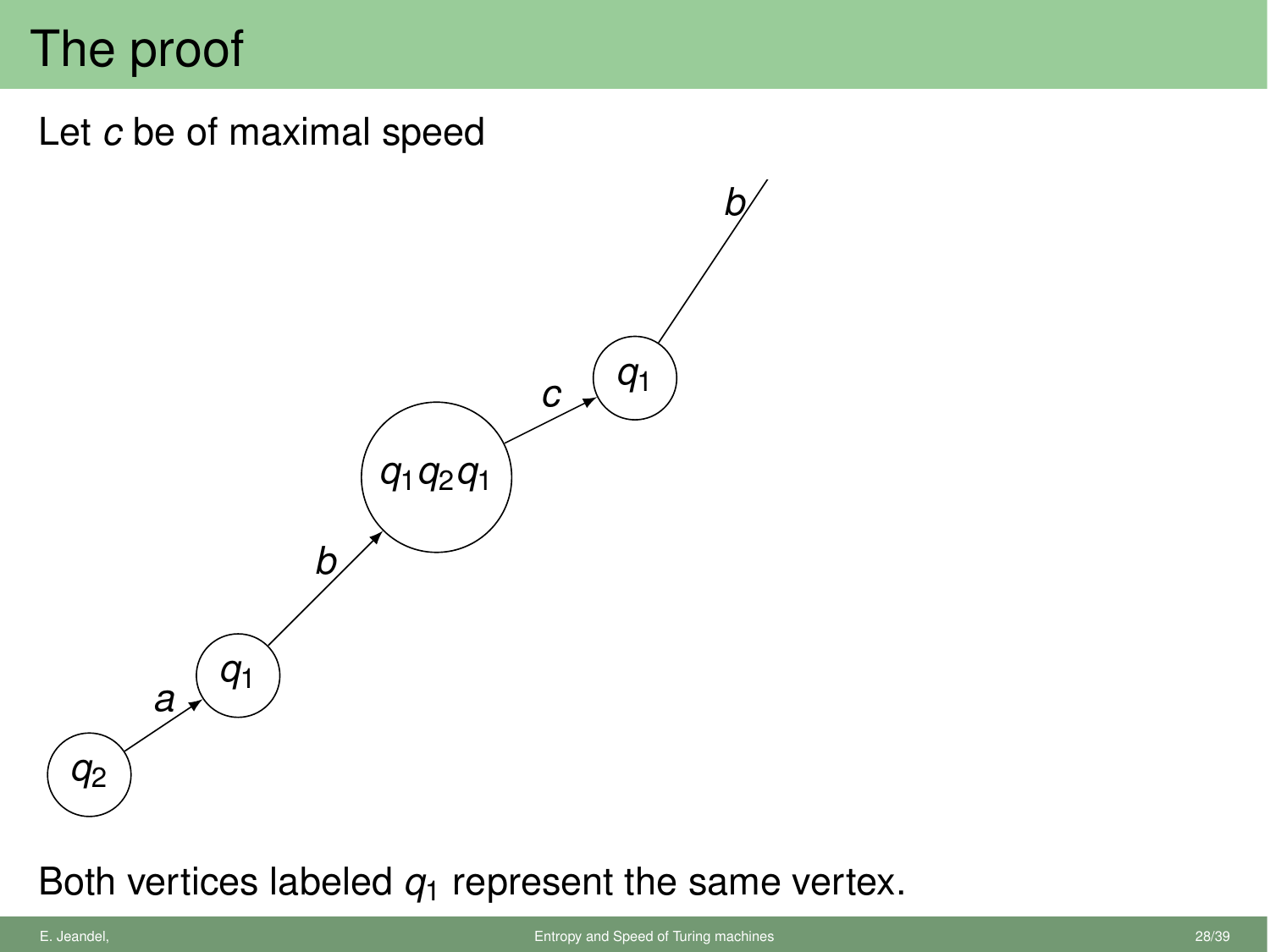# The proof

Let *c* be of maximal speed



Both vertices labeled  $q_1$  represent the same vertex.

*q*1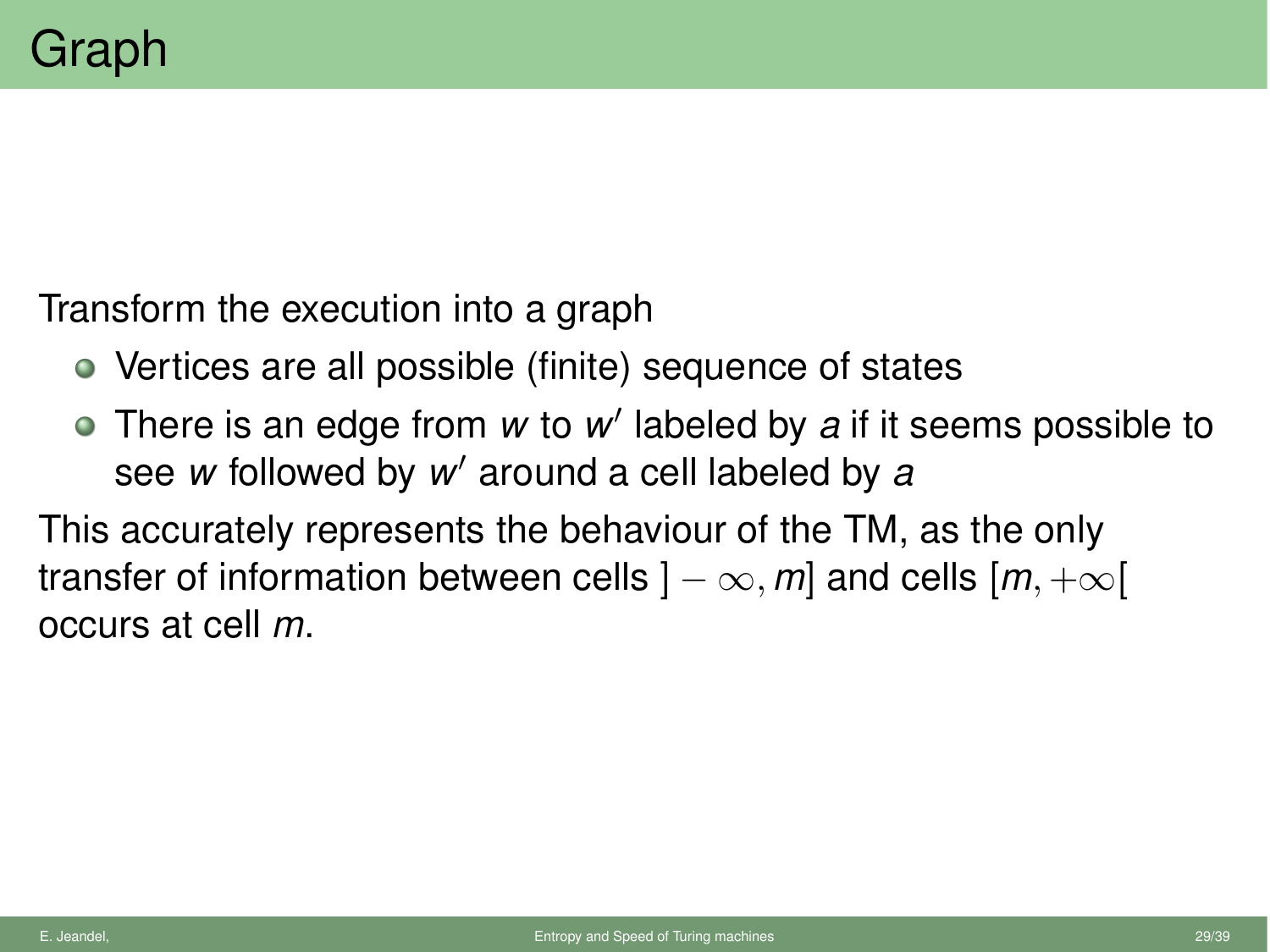Transform the execution into a graph

- Vertices are all possible (finite) sequence of states
- There is an edge from *w* to *w'* labeled by *a* if it seems possible to see *w* followed by *w'* around a cell labeled by *a*

This accurately represents the behaviour of the TM, as the only transfer of information between cells  $] - \infty$ , m and cells  $[m, +\infty[$ occurs at cell *m*.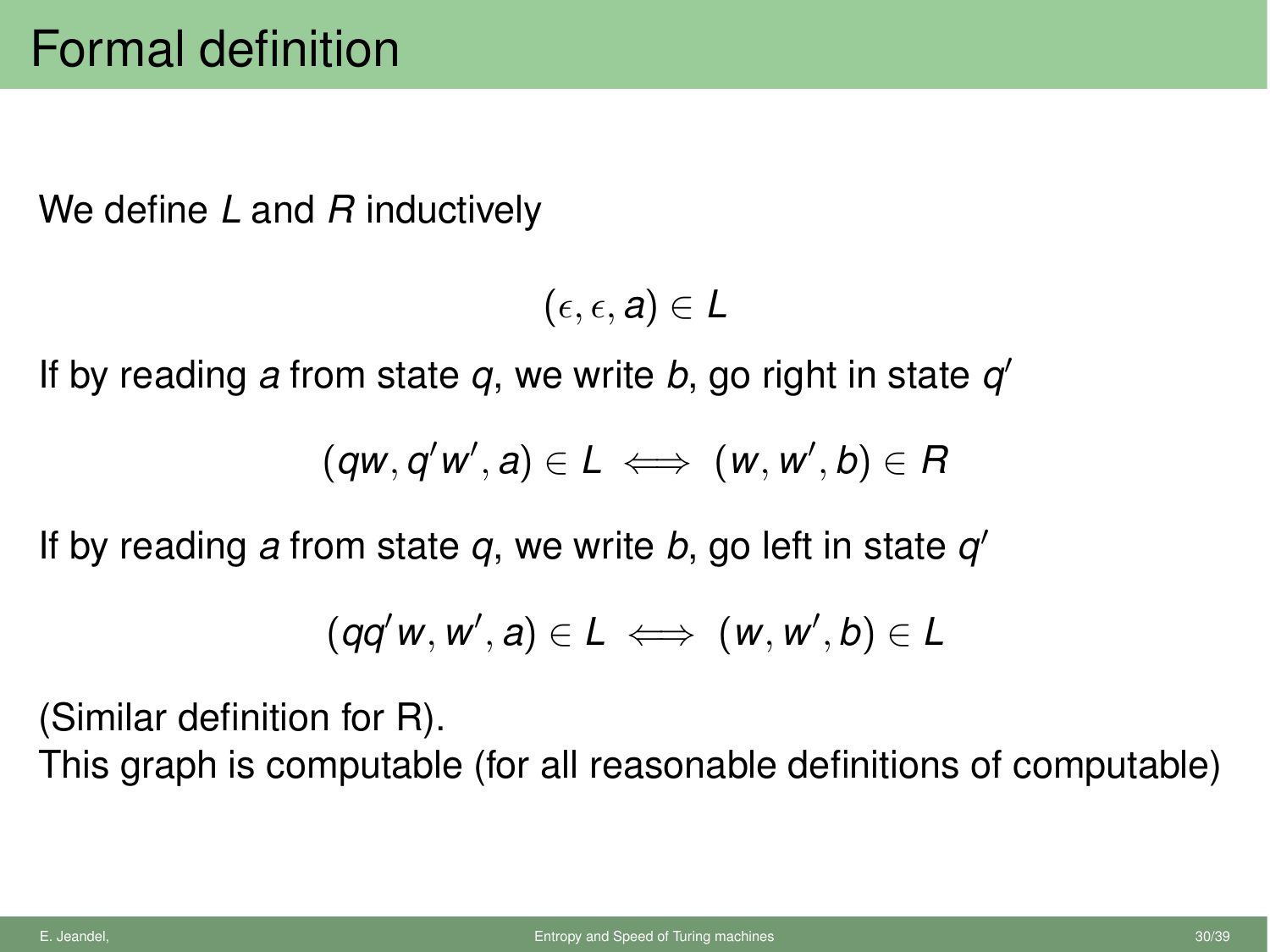We define *L* and *R* inductively

 $(\epsilon, \epsilon, a) \in L$ 

If by reading a from state  $q$ , we write  $b$ , go right in state  $q'$ 

$$
(qw,q'w',a) \in L \iff (w,w',b) \in R
$$

If by reading *a* from state  $q$ , we write *b*, go left in state  $q'$ 

$$
(qq'w, w', a) \in L \iff (w, w', b) \in L
$$

(Similar definition for R).

This graph is computable (for all reasonable definitions of computable)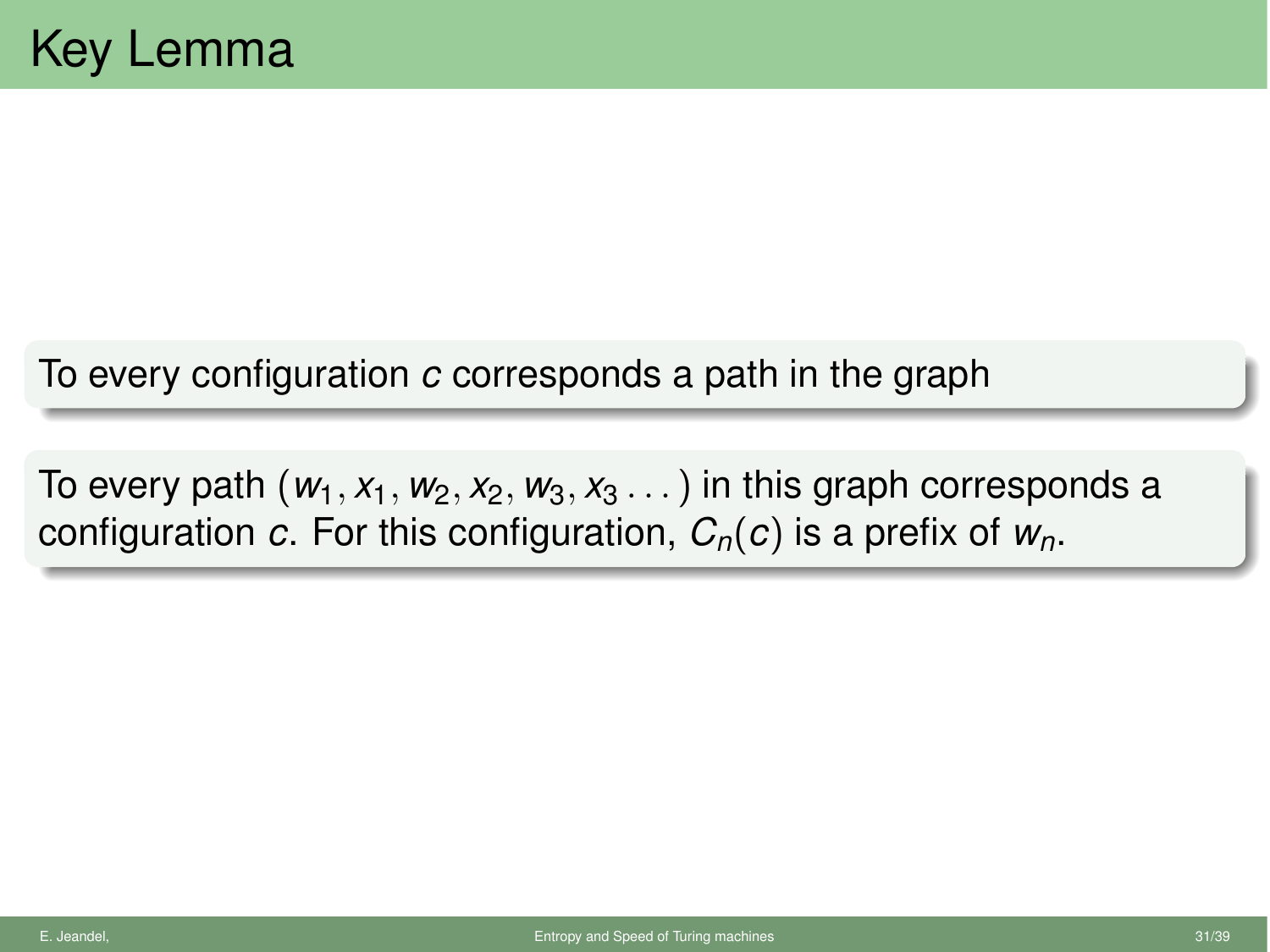To every configuration *c* corresponds a path in the graph

To every path  $(w_1, x_1, w_2, x_2, w_3, x_3, ...)$  in this graph corresponds a configuration *c*. For this configuration, *Cn*(*c*) is a prefix of *wn*.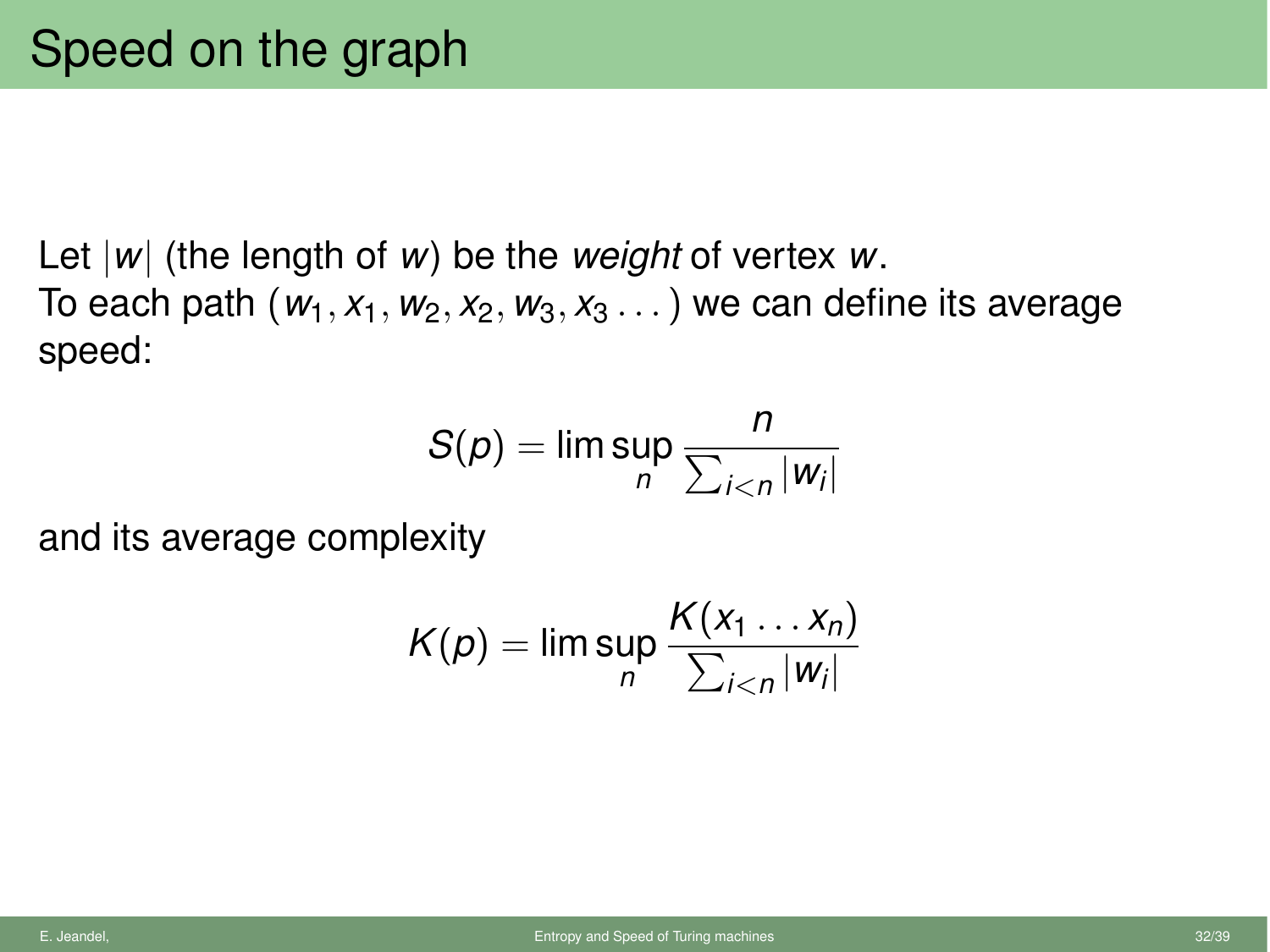Let *|w|* (the length of *w*) be the *weight* of vertex *w*. To each path  $(w_1, x_1, w_2, x_2, w_3, x_3, ...)$  we can define its average speed:

$$
S(\rho) = \limsup_n \frac{n}{\sum_{i < n} |w_i|}
$$

and its average complexity

$$
K(p) = \limsup_n \frac{K(x_1 \dots x_n)}{\sum_{i < n} |w_i|}
$$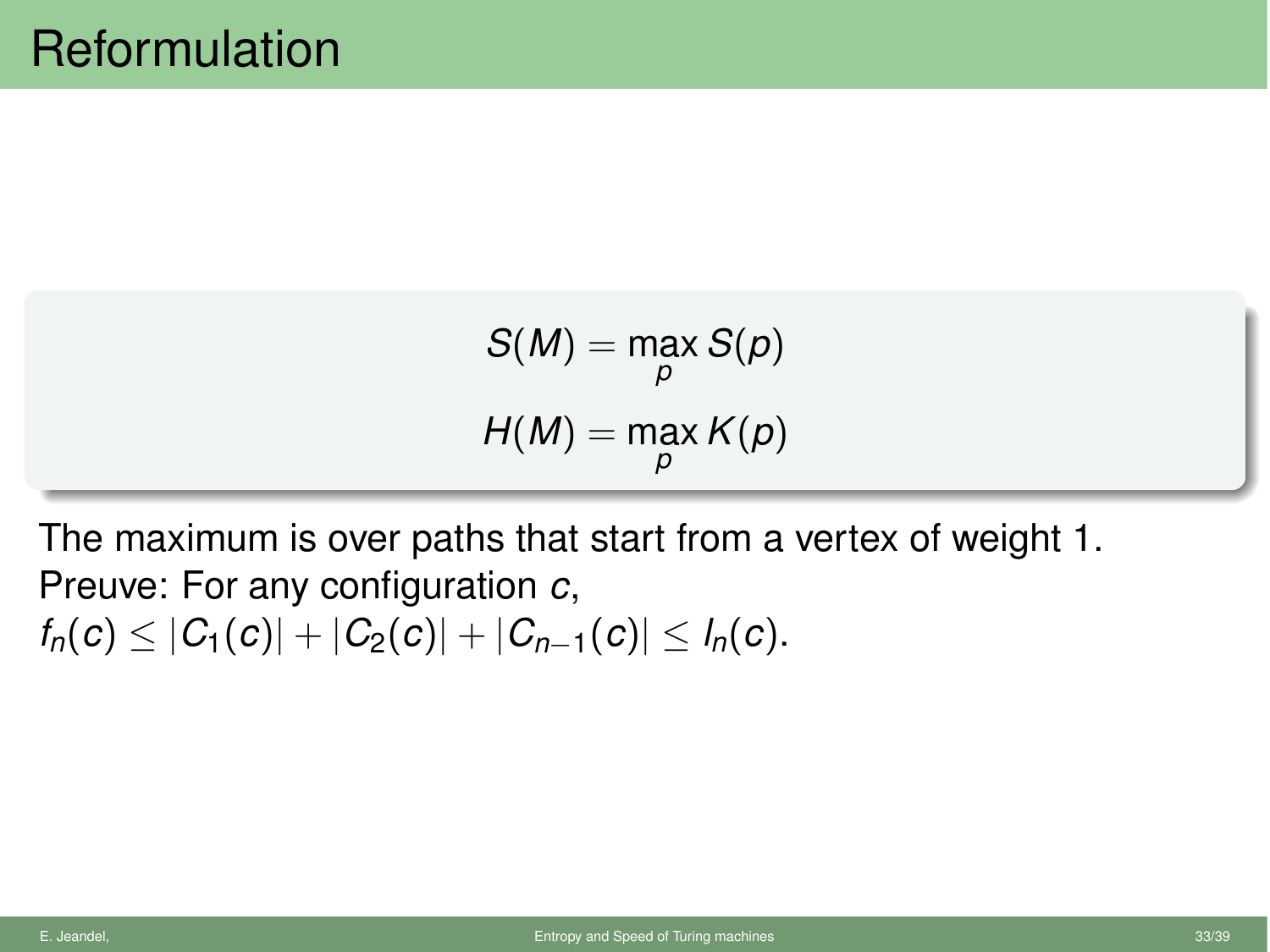$$
S(M) = \max_{p} S(p)
$$

$$
H(M) = \max_{p} K(p)
$$

The maximum is over paths that start from a vertex of weight 1. Preuve: For any configuration *c*,  $f_n(c) \leq |C_1(c)| + |C_2(c)| + |C_{n-1}(c)| \leq l_n(c).$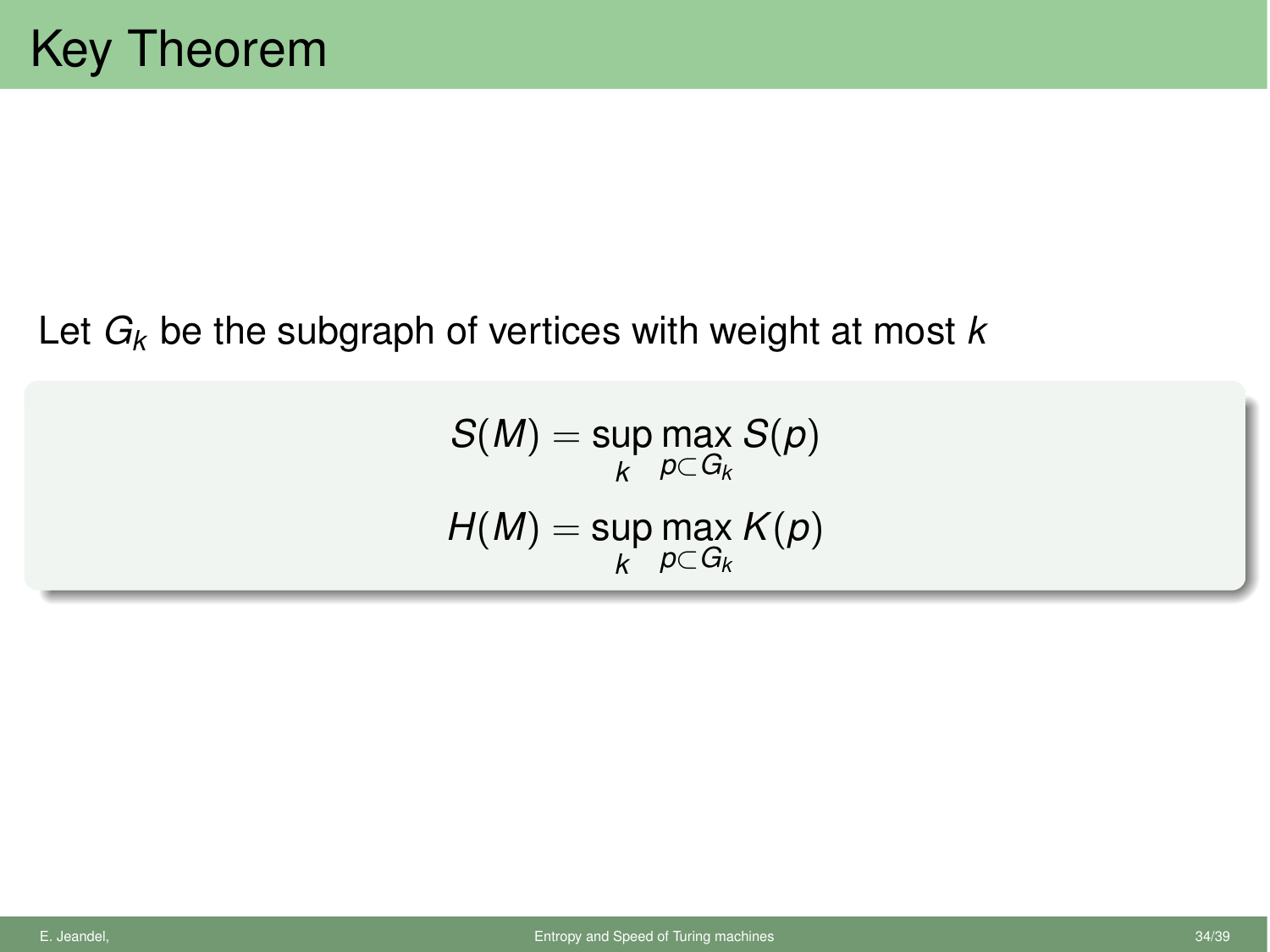#### Let *Gk* be the subgraph of vertices with weight at most *k*

 $\mathcal{S}(M) = \mathsf{sup}$ *k* max  $p{\subset}G_k$ *S*(*p*)  $H(M) = \mathsf{sup}$ *k* max  $p{\subset}G_k$ *K*(*p*)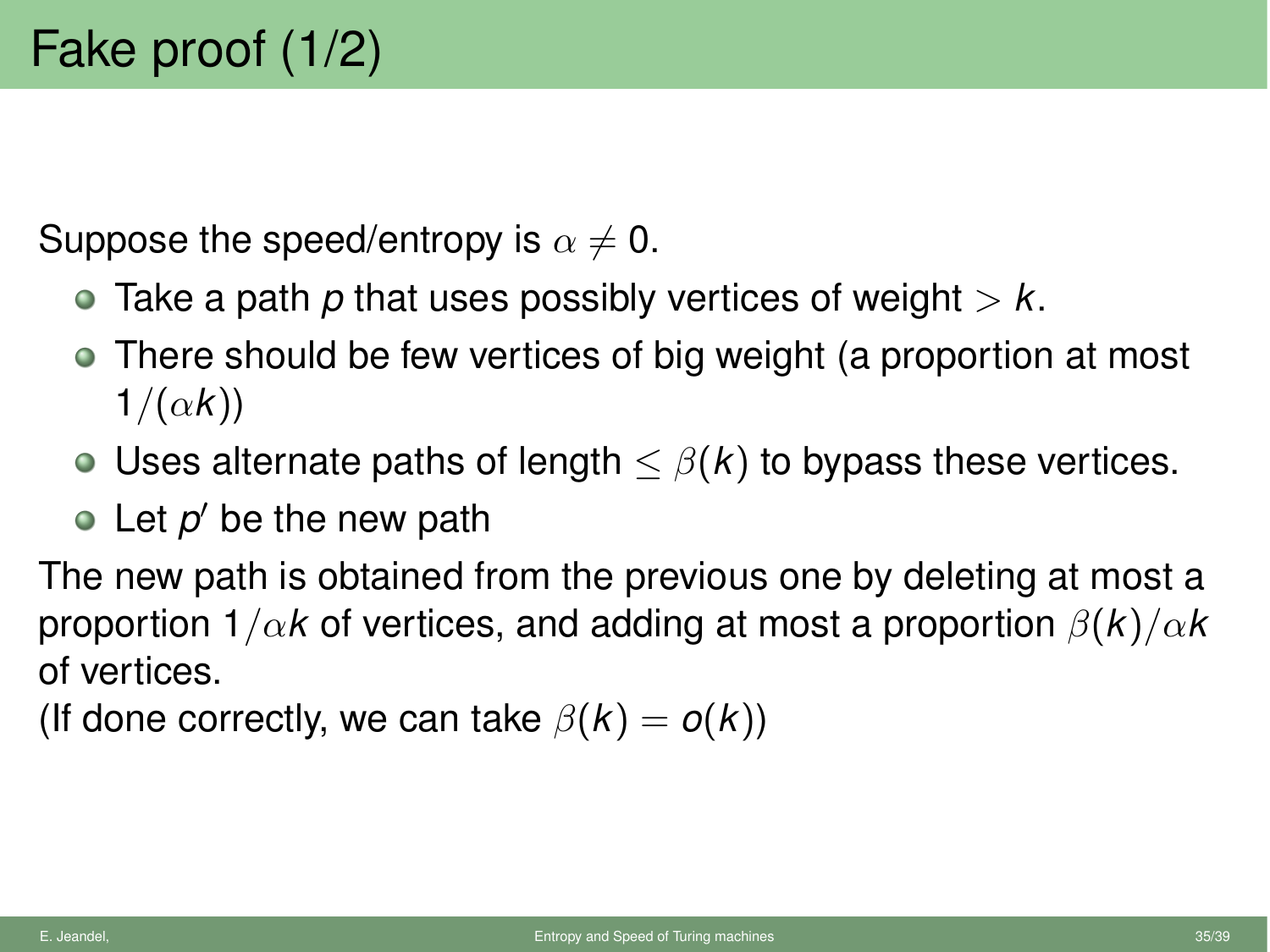Suppose the speed/entropy is  $\alpha \neq 0$ .

- Take a path *p* that uses possibly vertices of weight *> k*.
- There should be few vertices of big weight (a proportion at most  $1/(\alpha k)$
- Uses alternate paths of length  $\leq \beta(k)$  to bypass these vertices.
- $\bullet$  Let  $p'$  be the new path

The new path is obtained from the previous one by deleting at most a proportion  $1/\alpha k$  of vertices, and adding at most a proportion  $\beta(k)/\alpha k$ of vertices.

(If done correctly, we can take  $\beta(k) = o(k)$ )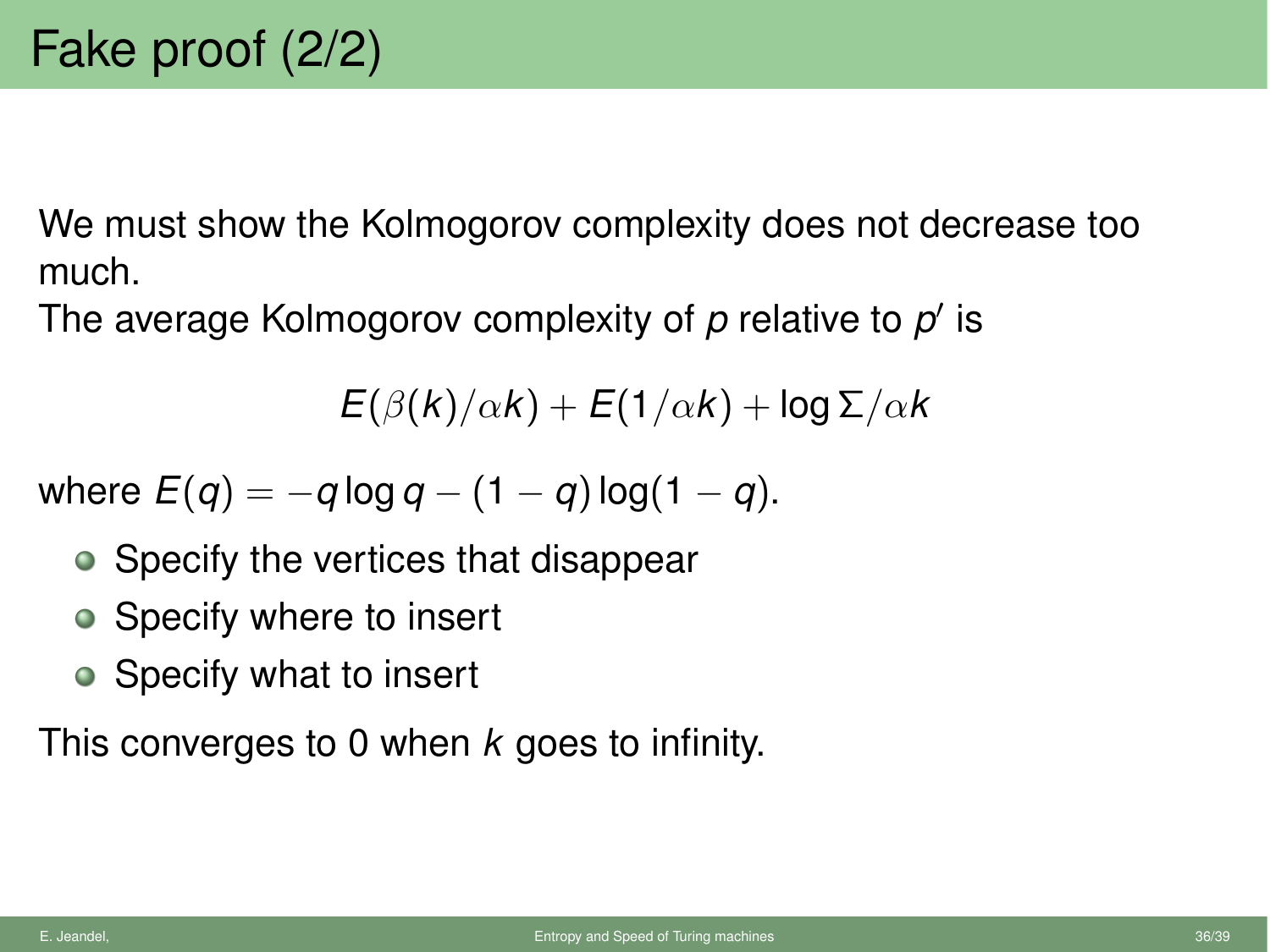We must show the Kolmogorov complexity does not decrease too much.

The average Kolmogorov complexity of p relative to p' is

 $E(\beta(k)/\alpha k) + E(1/\alpha k) + \log \Sigma/\alpha k$ 

where  $E(q) = -q \log q - (1 - q) \log(1 - q)$ .

- Specify the vertices that disappear
- Specify where to insert
- Specify what to insert

This converges to 0 when *k* goes to infinity.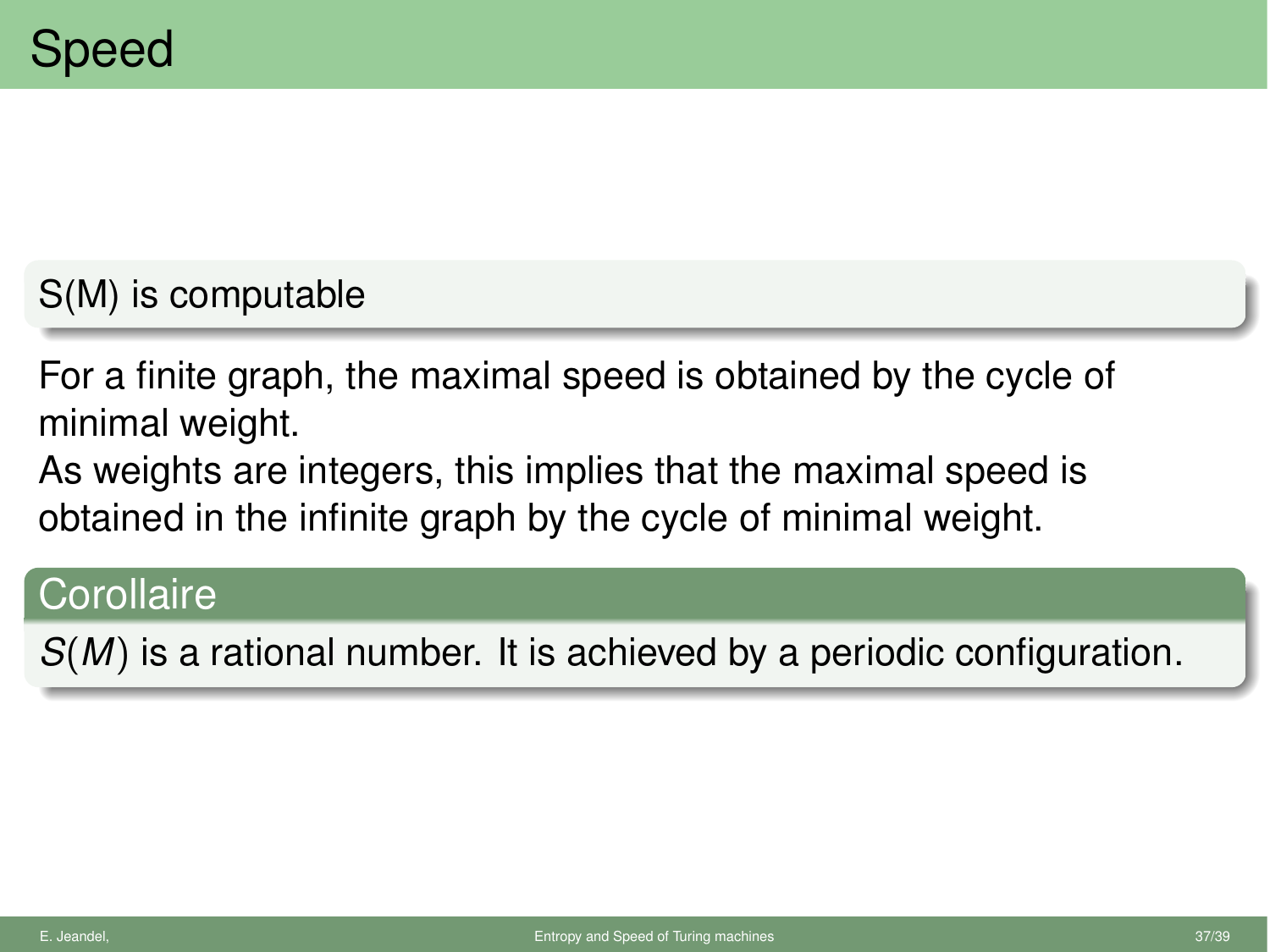## S(M) is computable

For a finite graph, the maximal speed is obtained by the cycle of minimal weight.

As weights are integers, this implies that the maximal speed is obtained in the infinite graph by the cycle of minimal weight.

## **Corollaire**

*S*(*M*) is a rational number. It is achieved by a periodic configuration.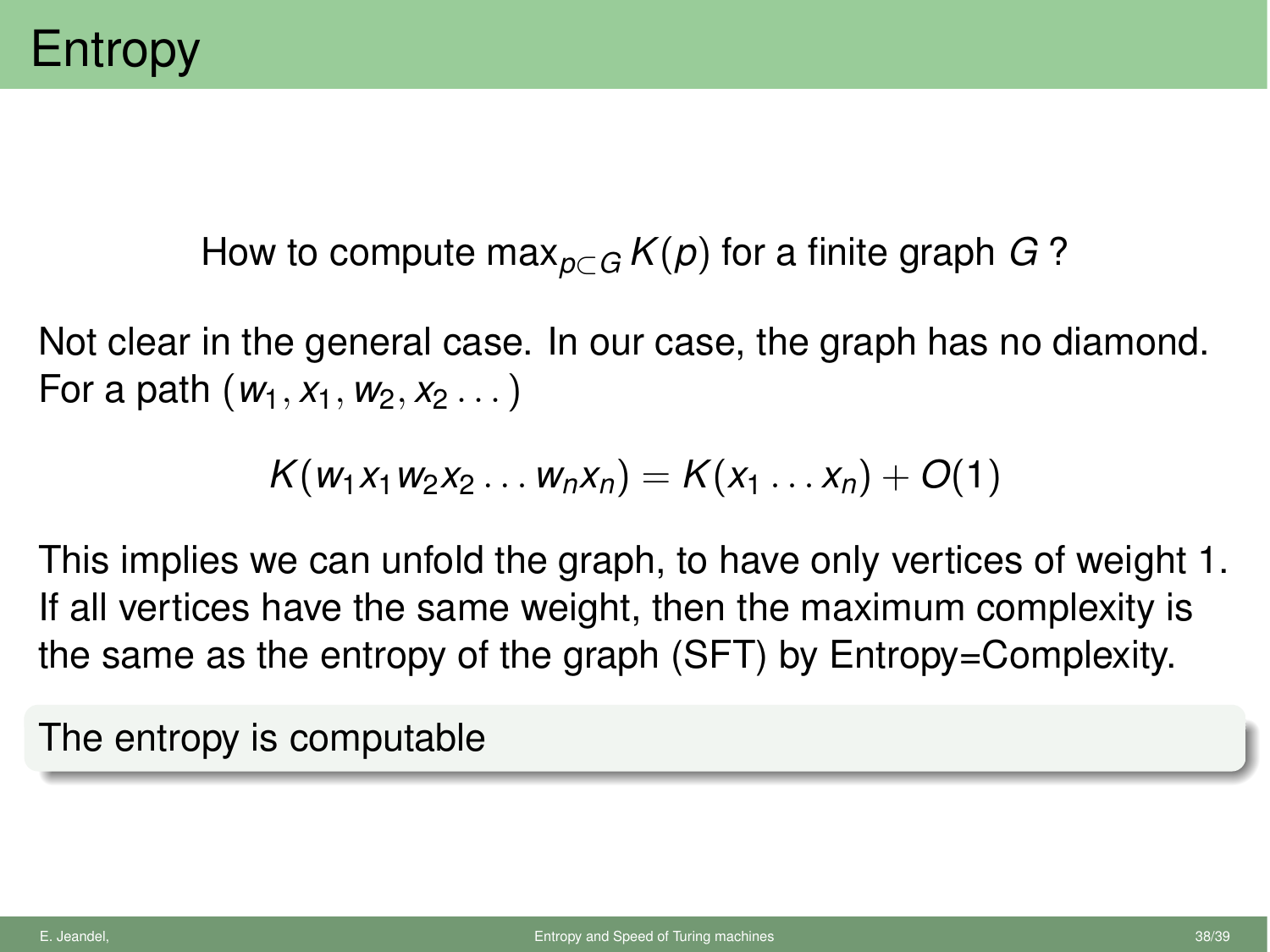How to compute max<sub>pc</sub><sub>*G*</sub>  $K(p)$  for a finite graph *G* ?

Not clear in the general case. In our case, the graph has no diamond. For a path  $(w_1, x_1, w_2, x_2, ...)$ 

$$
K(w_1x_1w_2x_2\ldots w_nx_n)=K(x_1\ldots x_n)+O(1)
$$

This implies we can unfold the graph, to have only vertices of weight 1. If all vertices have the same weight, then the maximum complexity is the same as the entropy of the graph (SFT) by Entropy=Complexity.

The entropy is computable